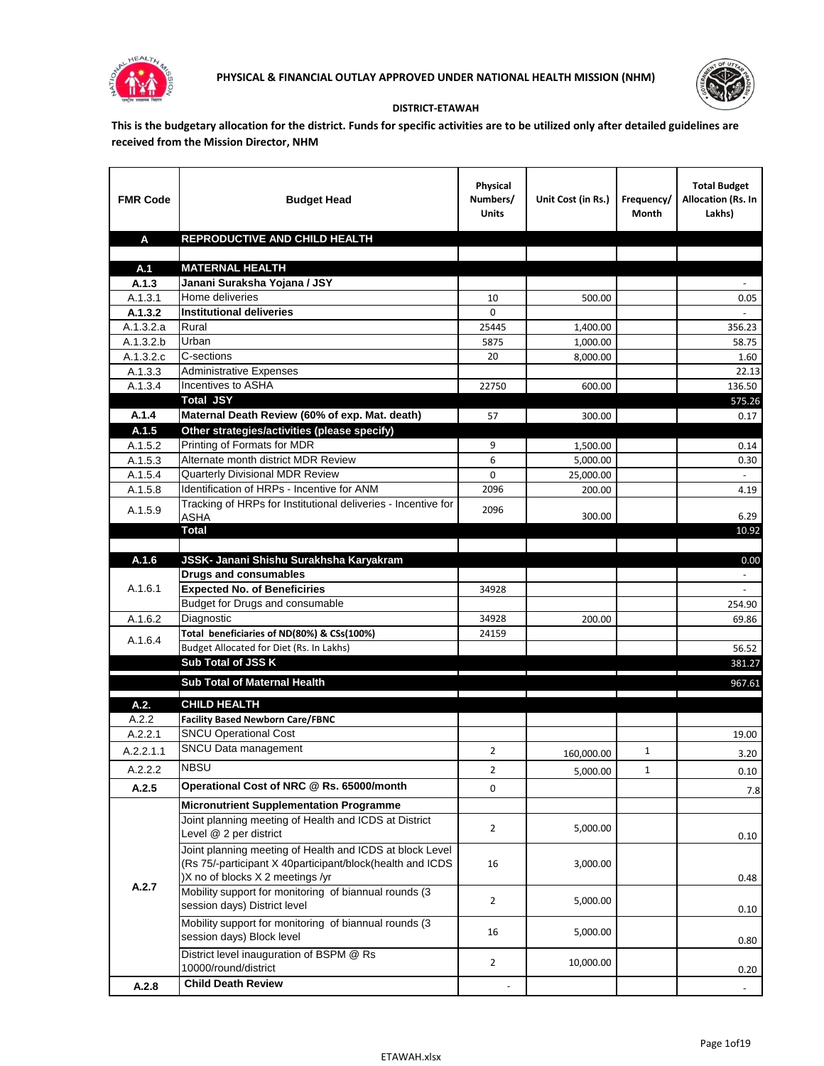



## **DISTRICT-ETAWAH**

**This is the budgetary allocation for the district. Funds for specific activities are to be utilized only after detailed guidelines are received from the Mission Director, NHM**

| <b>FMR Code</b>      | <b>Budget Head</b>                                                              | Physical<br>Numbers/<br><b>Units</b> | Unit Cost (in Rs.) | Frequency/<br>Month | <b>Total Budget</b><br>Allocation (Rs. In<br>Lakhs) |
|----------------------|---------------------------------------------------------------------------------|--------------------------------------|--------------------|---------------------|-----------------------------------------------------|
| A                    | REPRODUCTIVE AND CHILD HEALTH                                                   |                                      |                    |                     |                                                     |
|                      |                                                                                 |                                      |                    |                     |                                                     |
| A.1                  | <b>MATERNAL HEALTH</b>                                                          |                                      |                    |                     |                                                     |
| A.1.3                | Janani Suraksha Yojana / JSY                                                    |                                      |                    |                     |                                                     |
| A.1.3.1              | Home deliveries                                                                 | 10                                   | 500.00             |                     | 0.05                                                |
| A.1.3.2              | <b>Institutional deliveries</b>                                                 | 0                                    |                    |                     |                                                     |
| A.1.3.2.a            | Rural                                                                           | 25445                                | 1,400.00           |                     | 356.23                                              |
| A.1.3.2.b            | Urban                                                                           | 5875                                 | 1,000.00           |                     | 58.75                                               |
| A.1.3.2.c<br>A.1.3.3 | C-sections<br><b>Administrative Expenses</b>                                    | 20                                   | 8,000.00           |                     | 1.60                                                |
| A.1.3.4              | Incentives to ASHA                                                              | 22750                                | 600.00             |                     | 22.13<br>136.50                                     |
|                      | <b>Total JSY</b>                                                                |                                      |                    |                     | 575.26                                              |
| A.1.4                | Maternal Death Review (60% of exp. Mat. death)                                  | 57                                   | 300.00             |                     | 0.17                                                |
| A.1.5                | Other strategies/activities (please specify)                                    |                                      |                    |                     |                                                     |
| A.1.5.2              | Printing of Formats for MDR                                                     | 9                                    | 1.500.00           |                     | 0.14                                                |
| A.1.5.3              | Alternate month district MDR Review                                             | 6                                    | 5,000.00           |                     | 0.30                                                |
| A.1.5.4              | <b>Quarterly Divisional MDR Review</b>                                          | 0                                    | 25,000.00          |                     |                                                     |
| A.1.5.8              | Identification of HRPs - Incentive for ANM                                      | 2096                                 | 200.00             |                     | 4.19                                                |
|                      | Tracking of HRPs for Institutional deliveries - Incentive for                   |                                      |                    |                     |                                                     |
| A.1.5.9              | <b>ASHA</b>                                                                     | 2096                                 | 300.00             |                     | 6.29                                                |
|                      | <b>Total</b>                                                                    |                                      |                    |                     | 10.92                                               |
|                      |                                                                                 |                                      |                    |                     |                                                     |
| A.1.6                | JSSK- Janani Shishu Surakhsha Karyakram                                         |                                      |                    |                     | 0.00                                                |
|                      | <b>Drugs and consumables</b>                                                    |                                      |                    |                     |                                                     |
| A.1.6.1              | <b>Expected No. of Beneficiries</b>                                             | 34928                                |                    |                     |                                                     |
|                      | Budget for Drugs and consumable                                                 |                                      |                    |                     | 254.90                                              |
| A.1.6.2              | Diagnostic                                                                      | 34928                                | 200.00             |                     | 69.86                                               |
| A.1.6.4              | Total beneficiaries of ND(80%) & CSs(100%)                                      | 24159                                |                    |                     |                                                     |
|                      | Budget Allocated for Diet (Rs. In Lakhs)<br>Sub Total of JSS K                  |                                      |                    |                     | 56.52                                               |
|                      |                                                                                 |                                      |                    |                     | 381.27                                              |
|                      | Sub Total of Maternal Health                                                    |                                      |                    |                     | 967.61                                              |
| A.2.                 | <b>CHILD HEALTH</b>                                                             |                                      |                    |                     |                                                     |
| A.2.2                | <b>Facility Based Newborn Care/FBNC</b>                                         |                                      |                    |                     |                                                     |
| A.2.2.1              | <b>SNCU Operational Cost</b>                                                    |                                      |                    |                     | 19.00                                               |
| A.2.2.1.1            | SNCU Data management                                                            | 2                                    | 160,000.00         | 1                   | 3.20                                                |
| A.2.2.2              | <b>NBSU</b>                                                                     | $\overline{\mathbf{c}}$              |                    | 1                   |                                                     |
|                      | Operational Cost of NRC @ Rs. 65000/month                                       |                                      | 5,000.00           |                     | 0.10                                                |
| A.2.5                |                                                                                 | 0                                    |                    |                     | 7.8                                                 |
|                      | <b>Micronutrient Supplementation Programme</b>                                  |                                      |                    |                     |                                                     |
| A.2.7                | Joint planning meeting of Health and ICDS at District<br>Level @ 2 per district | $\overline{2}$                       | 5,000.00           |                     |                                                     |
|                      | Joint planning meeting of Health and ICDS at block Level                        |                                      |                    |                     | 0.10                                                |
|                      | (Rs 75/-participant X 40participant/block(health and ICDS                       | 16                                   | 3,000.00           |                     |                                                     |
|                      | )X no of blocks X 2 meetings /yr                                                |                                      |                    |                     | 0.48                                                |
|                      | Mobility support for monitoring of biannual rounds (3                           |                                      |                    |                     |                                                     |
|                      | session days) District level                                                    | $\overline{2}$                       | 5,000.00           |                     | 0.10                                                |
|                      | Mobility support for monitoring of biannual rounds (3)                          |                                      |                    |                     |                                                     |
|                      | session days) Block level                                                       | 16                                   | 5,000.00           |                     | 0.80                                                |
|                      | District level inauguration of BSPM @ Rs                                        |                                      |                    |                     |                                                     |
|                      | 10000/round/district                                                            | $\overline{2}$                       | 10,000.00          |                     | 0.20                                                |
| A.2.8                | <b>Child Death Review</b>                                                       |                                      |                    |                     |                                                     |
|                      |                                                                                 |                                      |                    |                     | $\overline{\phantom{a}}$                            |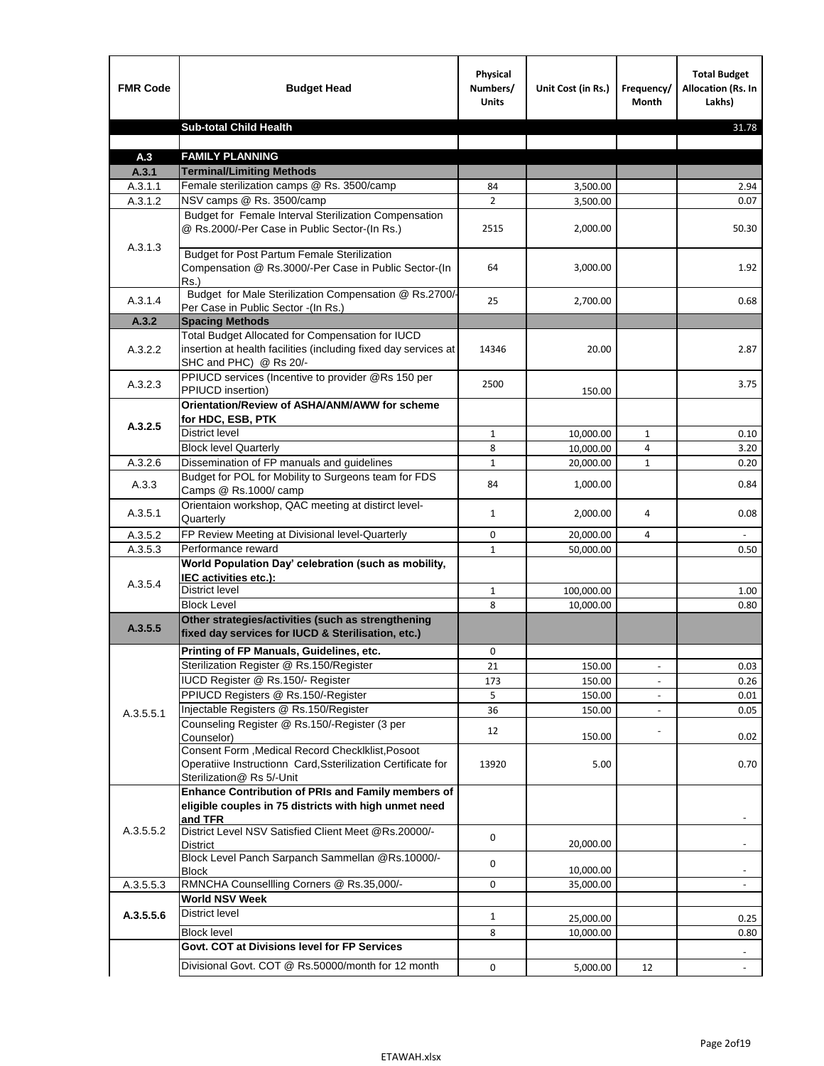| <b>Sub-total Child Health</b><br>31.78<br><b>FAMILY PLANNING</b><br>A.3<br><b>Terminal/Limiting Methods</b><br>A.3.1<br>Female sterilization camps @ Rs. 3500/camp<br>A.3.1.1<br>2.94<br>84<br>3,500.00<br>NSV camps @ Rs. 3500/camp<br>$\overline{2}$<br>A.3.1.2<br>0.07<br>3,500.00<br>Budget for Female Interval Sterilization Compensation<br>@ Rs.2000/-Per Case in Public Sector-(In Rs.)<br>2515<br>2,000.00<br>50.30<br>A.3.1.3<br><b>Budget for Post Partum Female Sterilization</b><br>Compensation @ Rs.3000/-Per Case in Public Sector-(In<br>64<br>3,000.00<br>1.92<br>$Rs.$ )<br>Budget for Male Sterilization Compensation @ Rs.2700/-<br>A.3.1.4<br>25<br>2,700.00<br>0.68<br>Per Case in Public Sector -(In Rs.)<br>A.3.2<br><b>Spacing Methods</b><br>Total Budget Allocated for Compensation for IUCD<br>insertion at health facilities (including fixed day services at<br>A.3.2.2<br>14346<br>20.00<br>2.87<br>SHC and PHC) @ Rs 20/-<br>PPIUCD services (Incentive to provider @Rs 150 per<br>A.3.2.3<br>2500<br>3.75<br>PPIUCD insertion)<br>150.00<br>Orientation/Review of ASHA/ANM/AWW for scheme<br>for HDC, ESB, PTK<br>A.3.2.5<br><b>District level</b><br>$\mathbf{1}$<br>10,000.00<br>$\mathbf{1}$<br>0.10<br><b>Block level Quarterly</b><br>8<br>10,000.00<br>3.20<br>4<br>Dissemination of FP manuals and guidelines<br>A.3.2.6<br>$\mathbf{1}$<br>$\mathbf{1}$<br>0.20<br>20,000.00<br>Budget for POL for Mobility to Surgeons team for FDS<br>A.3.3<br>84<br>1,000.00<br>0.84<br>Camps @ Rs.1000/camp<br>Orientaion workshop, QAC meeting at distirct level-<br>A.3.5.1<br>0.08<br>$\mathbf{1}$<br>2,000.00<br>4<br>Quarterly<br>FP Review Meeting at Divisional level-Quarterly<br>A.3.5.2<br>0<br>20,000.00<br>4<br>Performance reward<br>A.3.5.3<br>$\mathbf{1}$<br>50,000.00<br>0.50<br>World Population Day' celebration (such as mobility,<br>IEC activities etc.):<br>A.3.5.4<br>District level<br>100,000.00<br>$\mathbf{1}$<br>1.00<br><b>Block Level</b><br>8<br>0.80<br>10.000.00<br>Other strategies/activities (such as strengthening<br>A.3.5.5<br>fixed day services for IUCD & Sterilisation, etc.)<br>Printing of FP Manuals, Guidelines, etc.<br>0<br>Sterilization Register @ Rs.150/Register<br>21<br>150.00<br>0.03<br>$\overline{\phantom{a}}$<br>IUCD Register @ Rs.150/- Register<br>173<br>150.00<br>0.26<br>PPIUCD Registers @ Rs.150/-Register<br>150.00<br>5<br>0.01<br>Injectable Registers @ Rs.150/Register<br>36<br>150.00<br>0.05<br>A.3.5.5.1<br>Counseling Register @ Rs.150/-Register (3 per<br>12<br>Counselor)<br>150.00<br>0.02<br>Consent Form , Medical Record CheckIklist, Posoot<br>Operatiive Instructionn Card, Ssterilization Certificate for<br>13920<br>5.00<br>0.70<br>Sterilization@ Rs 5/-Unit<br>Enhance Contribution of PRIs and Family members of<br>eligible couples in 75 districts with high unmet need<br>and TFR<br>District Level NSV Satisfied Client Meet @Rs.20000/-<br>A.3.5.5.2<br>0<br>20,000.00<br>District<br>Block Level Panch Sarpanch Sammellan @Rs.10000/-<br>0<br>10,000.00<br>Block<br>RMNCHA Counsellling Corners @ Rs.35,000/-<br>A.3.5.5.3<br>0<br>35,000.00<br><b>World NSV Week</b><br><b>District level</b><br>A.3.5.5.6<br>$\mathbf{1}$<br>25,000.00<br>0.25<br><b>Block level</b><br>8<br>10,000.00<br>0.80<br>Govt. COT at Divisions level for FP Services<br>Divisional Govt. COT @ Rs.50000/month for 12 month<br>0<br>5,000.00<br>12<br>$\blacksquare$ | <b>FMR Code</b> | <b>Budget Head</b> | Physical<br>Numbers/<br><b>Units</b> | Unit Cost (in Rs.) | Frequency/<br>Month | <b>Total Budget</b><br><b>Allocation (Rs. In</b><br>Lakhs) |
|----------------------------------------------------------------------------------------------------------------------------------------------------------------------------------------------------------------------------------------------------------------------------------------------------------------------------------------------------------------------------------------------------------------------------------------------------------------------------------------------------------------------------------------------------------------------------------------------------------------------------------------------------------------------------------------------------------------------------------------------------------------------------------------------------------------------------------------------------------------------------------------------------------------------------------------------------------------------------------------------------------------------------------------------------------------------------------------------------------------------------------------------------------------------------------------------------------------------------------------------------------------------------------------------------------------------------------------------------------------------------------------------------------------------------------------------------------------------------------------------------------------------------------------------------------------------------------------------------------------------------------------------------------------------------------------------------------------------------------------------------------------------------------------------------------------------------------------------------------------------------------------------------------------------------------------------------------------------------------------------------------------------------------------------------------------------------------------------------------------------------------------------------------------------------------------------------------------------------------------------------------------------------------------------------------------------------------------------------------------------------------------------------------------------------------------------------------------------------------------------------------------------------------------------------------------------------------------------------------------------------------------------------------------------------------------------------------------------------------------------------------------------------------------------------------------------------------------------------------------------------------------------------------------------------------------------------------------------------------------------------------------------------------------------------------------------------------------------------------------------------------------------------------------------------------------------------------------------------------------------------------------------------------------------------------------------------------------------------------------------------------------------------------------------------------------------------------------------------------|-----------------|--------------------|--------------------------------------|--------------------|---------------------|------------------------------------------------------------|
|                                                                                                                                                                                                                                                                                                                                                                                                                                                                                                                                                                                                                                                                                                                                                                                                                                                                                                                                                                                                                                                                                                                                                                                                                                                                                                                                                                                                                                                                                                                                                                                                                                                                                                                                                                                                                                                                                                                                                                                                                                                                                                                                                                                                                                                                                                                                                                                                                                                                                                                                                                                                                                                                                                                                                                                                                                                                                                                                                                                                                                                                                                                                                                                                                                                                                                                                                                                                                                                                                  |                 |                    |                                      |                    |                     |                                                            |
|                                                                                                                                                                                                                                                                                                                                                                                                                                                                                                                                                                                                                                                                                                                                                                                                                                                                                                                                                                                                                                                                                                                                                                                                                                                                                                                                                                                                                                                                                                                                                                                                                                                                                                                                                                                                                                                                                                                                                                                                                                                                                                                                                                                                                                                                                                                                                                                                                                                                                                                                                                                                                                                                                                                                                                                                                                                                                                                                                                                                                                                                                                                                                                                                                                                                                                                                                                                                                                                                                  |                 |                    |                                      |                    |                     |                                                            |
|                                                                                                                                                                                                                                                                                                                                                                                                                                                                                                                                                                                                                                                                                                                                                                                                                                                                                                                                                                                                                                                                                                                                                                                                                                                                                                                                                                                                                                                                                                                                                                                                                                                                                                                                                                                                                                                                                                                                                                                                                                                                                                                                                                                                                                                                                                                                                                                                                                                                                                                                                                                                                                                                                                                                                                                                                                                                                                                                                                                                                                                                                                                                                                                                                                                                                                                                                                                                                                                                                  |                 |                    |                                      |                    |                     |                                                            |
|                                                                                                                                                                                                                                                                                                                                                                                                                                                                                                                                                                                                                                                                                                                                                                                                                                                                                                                                                                                                                                                                                                                                                                                                                                                                                                                                                                                                                                                                                                                                                                                                                                                                                                                                                                                                                                                                                                                                                                                                                                                                                                                                                                                                                                                                                                                                                                                                                                                                                                                                                                                                                                                                                                                                                                                                                                                                                                                                                                                                                                                                                                                                                                                                                                                                                                                                                                                                                                                                                  |                 |                    |                                      |                    |                     |                                                            |
|                                                                                                                                                                                                                                                                                                                                                                                                                                                                                                                                                                                                                                                                                                                                                                                                                                                                                                                                                                                                                                                                                                                                                                                                                                                                                                                                                                                                                                                                                                                                                                                                                                                                                                                                                                                                                                                                                                                                                                                                                                                                                                                                                                                                                                                                                                                                                                                                                                                                                                                                                                                                                                                                                                                                                                                                                                                                                                                                                                                                                                                                                                                                                                                                                                                                                                                                                                                                                                                                                  |                 |                    |                                      |                    |                     |                                                            |
|                                                                                                                                                                                                                                                                                                                                                                                                                                                                                                                                                                                                                                                                                                                                                                                                                                                                                                                                                                                                                                                                                                                                                                                                                                                                                                                                                                                                                                                                                                                                                                                                                                                                                                                                                                                                                                                                                                                                                                                                                                                                                                                                                                                                                                                                                                                                                                                                                                                                                                                                                                                                                                                                                                                                                                                                                                                                                                                                                                                                                                                                                                                                                                                                                                                                                                                                                                                                                                                                                  |                 |                    |                                      |                    |                     |                                                            |
|                                                                                                                                                                                                                                                                                                                                                                                                                                                                                                                                                                                                                                                                                                                                                                                                                                                                                                                                                                                                                                                                                                                                                                                                                                                                                                                                                                                                                                                                                                                                                                                                                                                                                                                                                                                                                                                                                                                                                                                                                                                                                                                                                                                                                                                                                                                                                                                                                                                                                                                                                                                                                                                                                                                                                                                                                                                                                                                                                                                                                                                                                                                                                                                                                                                                                                                                                                                                                                                                                  |                 |                    |                                      |                    |                     |                                                            |
|                                                                                                                                                                                                                                                                                                                                                                                                                                                                                                                                                                                                                                                                                                                                                                                                                                                                                                                                                                                                                                                                                                                                                                                                                                                                                                                                                                                                                                                                                                                                                                                                                                                                                                                                                                                                                                                                                                                                                                                                                                                                                                                                                                                                                                                                                                                                                                                                                                                                                                                                                                                                                                                                                                                                                                                                                                                                                                                                                                                                                                                                                                                                                                                                                                                                                                                                                                                                                                                                                  |                 |                    |                                      |                    |                     |                                                            |
|                                                                                                                                                                                                                                                                                                                                                                                                                                                                                                                                                                                                                                                                                                                                                                                                                                                                                                                                                                                                                                                                                                                                                                                                                                                                                                                                                                                                                                                                                                                                                                                                                                                                                                                                                                                                                                                                                                                                                                                                                                                                                                                                                                                                                                                                                                                                                                                                                                                                                                                                                                                                                                                                                                                                                                                                                                                                                                                                                                                                                                                                                                                                                                                                                                                                                                                                                                                                                                                                                  |                 |                    |                                      |                    |                     |                                                            |
|                                                                                                                                                                                                                                                                                                                                                                                                                                                                                                                                                                                                                                                                                                                                                                                                                                                                                                                                                                                                                                                                                                                                                                                                                                                                                                                                                                                                                                                                                                                                                                                                                                                                                                                                                                                                                                                                                                                                                                                                                                                                                                                                                                                                                                                                                                                                                                                                                                                                                                                                                                                                                                                                                                                                                                                                                                                                                                                                                                                                                                                                                                                                                                                                                                                                                                                                                                                                                                                                                  |                 |                    |                                      |                    |                     |                                                            |
|                                                                                                                                                                                                                                                                                                                                                                                                                                                                                                                                                                                                                                                                                                                                                                                                                                                                                                                                                                                                                                                                                                                                                                                                                                                                                                                                                                                                                                                                                                                                                                                                                                                                                                                                                                                                                                                                                                                                                                                                                                                                                                                                                                                                                                                                                                                                                                                                                                                                                                                                                                                                                                                                                                                                                                                                                                                                                                                                                                                                                                                                                                                                                                                                                                                                                                                                                                                                                                                                                  |                 |                    |                                      |                    |                     |                                                            |
|                                                                                                                                                                                                                                                                                                                                                                                                                                                                                                                                                                                                                                                                                                                                                                                                                                                                                                                                                                                                                                                                                                                                                                                                                                                                                                                                                                                                                                                                                                                                                                                                                                                                                                                                                                                                                                                                                                                                                                                                                                                                                                                                                                                                                                                                                                                                                                                                                                                                                                                                                                                                                                                                                                                                                                                                                                                                                                                                                                                                                                                                                                                                                                                                                                                                                                                                                                                                                                                                                  |                 |                    |                                      |                    |                     |                                                            |
|                                                                                                                                                                                                                                                                                                                                                                                                                                                                                                                                                                                                                                                                                                                                                                                                                                                                                                                                                                                                                                                                                                                                                                                                                                                                                                                                                                                                                                                                                                                                                                                                                                                                                                                                                                                                                                                                                                                                                                                                                                                                                                                                                                                                                                                                                                                                                                                                                                                                                                                                                                                                                                                                                                                                                                                                                                                                                                                                                                                                                                                                                                                                                                                                                                                                                                                                                                                                                                                                                  |                 |                    |                                      |                    |                     |                                                            |
|                                                                                                                                                                                                                                                                                                                                                                                                                                                                                                                                                                                                                                                                                                                                                                                                                                                                                                                                                                                                                                                                                                                                                                                                                                                                                                                                                                                                                                                                                                                                                                                                                                                                                                                                                                                                                                                                                                                                                                                                                                                                                                                                                                                                                                                                                                                                                                                                                                                                                                                                                                                                                                                                                                                                                                                                                                                                                                                                                                                                                                                                                                                                                                                                                                                                                                                                                                                                                                                                                  |                 |                    |                                      |                    |                     |                                                            |
|                                                                                                                                                                                                                                                                                                                                                                                                                                                                                                                                                                                                                                                                                                                                                                                                                                                                                                                                                                                                                                                                                                                                                                                                                                                                                                                                                                                                                                                                                                                                                                                                                                                                                                                                                                                                                                                                                                                                                                                                                                                                                                                                                                                                                                                                                                                                                                                                                                                                                                                                                                                                                                                                                                                                                                                                                                                                                                                                                                                                                                                                                                                                                                                                                                                                                                                                                                                                                                                                                  |                 |                    |                                      |                    |                     |                                                            |
|                                                                                                                                                                                                                                                                                                                                                                                                                                                                                                                                                                                                                                                                                                                                                                                                                                                                                                                                                                                                                                                                                                                                                                                                                                                                                                                                                                                                                                                                                                                                                                                                                                                                                                                                                                                                                                                                                                                                                                                                                                                                                                                                                                                                                                                                                                                                                                                                                                                                                                                                                                                                                                                                                                                                                                                                                                                                                                                                                                                                                                                                                                                                                                                                                                                                                                                                                                                                                                                                                  |                 |                    |                                      |                    |                     |                                                            |
|                                                                                                                                                                                                                                                                                                                                                                                                                                                                                                                                                                                                                                                                                                                                                                                                                                                                                                                                                                                                                                                                                                                                                                                                                                                                                                                                                                                                                                                                                                                                                                                                                                                                                                                                                                                                                                                                                                                                                                                                                                                                                                                                                                                                                                                                                                                                                                                                                                                                                                                                                                                                                                                                                                                                                                                                                                                                                                                                                                                                                                                                                                                                                                                                                                                                                                                                                                                                                                                                                  |                 |                    |                                      |                    |                     |                                                            |
|                                                                                                                                                                                                                                                                                                                                                                                                                                                                                                                                                                                                                                                                                                                                                                                                                                                                                                                                                                                                                                                                                                                                                                                                                                                                                                                                                                                                                                                                                                                                                                                                                                                                                                                                                                                                                                                                                                                                                                                                                                                                                                                                                                                                                                                                                                                                                                                                                                                                                                                                                                                                                                                                                                                                                                                                                                                                                                                                                                                                                                                                                                                                                                                                                                                                                                                                                                                                                                                                                  |                 |                    |                                      |                    |                     |                                                            |
|                                                                                                                                                                                                                                                                                                                                                                                                                                                                                                                                                                                                                                                                                                                                                                                                                                                                                                                                                                                                                                                                                                                                                                                                                                                                                                                                                                                                                                                                                                                                                                                                                                                                                                                                                                                                                                                                                                                                                                                                                                                                                                                                                                                                                                                                                                                                                                                                                                                                                                                                                                                                                                                                                                                                                                                                                                                                                                                                                                                                                                                                                                                                                                                                                                                                                                                                                                                                                                                                                  |                 |                    |                                      |                    |                     |                                                            |
|                                                                                                                                                                                                                                                                                                                                                                                                                                                                                                                                                                                                                                                                                                                                                                                                                                                                                                                                                                                                                                                                                                                                                                                                                                                                                                                                                                                                                                                                                                                                                                                                                                                                                                                                                                                                                                                                                                                                                                                                                                                                                                                                                                                                                                                                                                                                                                                                                                                                                                                                                                                                                                                                                                                                                                                                                                                                                                                                                                                                                                                                                                                                                                                                                                                                                                                                                                                                                                                                                  |                 |                    |                                      |                    |                     |                                                            |
|                                                                                                                                                                                                                                                                                                                                                                                                                                                                                                                                                                                                                                                                                                                                                                                                                                                                                                                                                                                                                                                                                                                                                                                                                                                                                                                                                                                                                                                                                                                                                                                                                                                                                                                                                                                                                                                                                                                                                                                                                                                                                                                                                                                                                                                                                                                                                                                                                                                                                                                                                                                                                                                                                                                                                                                                                                                                                                                                                                                                                                                                                                                                                                                                                                                                                                                                                                                                                                                                                  |                 |                    |                                      |                    |                     |                                                            |
|                                                                                                                                                                                                                                                                                                                                                                                                                                                                                                                                                                                                                                                                                                                                                                                                                                                                                                                                                                                                                                                                                                                                                                                                                                                                                                                                                                                                                                                                                                                                                                                                                                                                                                                                                                                                                                                                                                                                                                                                                                                                                                                                                                                                                                                                                                                                                                                                                                                                                                                                                                                                                                                                                                                                                                                                                                                                                                                                                                                                                                                                                                                                                                                                                                                                                                                                                                                                                                                                                  |                 |                    |                                      |                    |                     |                                                            |
|                                                                                                                                                                                                                                                                                                                                                                                                                                                                                                                                                                                                                                                                                                                                                                                                                                                                                                                                                                                                                                                                                                                                                                                                                                                                                                                                                                                                                                                                                                                                                                                                                                                                                                                                                                                                                                                                                                                                                                                                                                                                                                                                                                                                                                                                                                                                                                                                                                                                                                                                                                                                                                                                                                                                                                                                                                                                                                                                                                                                                                                                                                                                                                                                                                                                                                                                                                                                                                                                                  |                 |                    |                                      |                    |                     |                                                            |
|                                                                                                                                                                                                                                                                                                                                                                                                                                                                                                                                                                                                                                                                                                                                                                                                                                                                                                                                                                                                                                                                                                                                                                                                                                                                                                                                                                                                                                                                                                                                                                                                                                                                                                                                                                                                                                                                                                                                                                                                                                                                                                                                                                                                                                                                                                                                                                                                                                                                                                                                                                                                                                                                                                                                                                                                                                                                                                                                                                                                                                                                                                                                                                                                                                                                                                                                                                                                                                                                                  |                 |                    |                                      |                    |                     |                                                            |
|                                                                                                                                                                                                                                                                                                                                                                                                                                                                                                                                                                                                                                                                                                                                                                                                                                                                                                                                                                                                                                                                                                                                                                                                                                                                                                                                                                                                                                                                                                                                                                                                                                                                                                                                                                                                                                                                                                                                                                                                                                                                                                                                                                                                                                                                                                                                                                                                                                                                                                                                                                                                                                                                                                                                                                                                                                                                                                                                                                                                                                                                                                                                                                                                                                                                                                                                                                                                                                                                                  |                 |                    |                                      |                    |                     |                                                            |
|                                                                                                                                                                                                                                                                                                                                                                                                                                                                                                                                                                                                                                                                                                                                                                                                                                                                                                                                                                                                                                                                                                                                                                                                                                                                                                                                                                                                                                                                                                                                                                                                                                                                                                                                                                                                                                                                                                                                                                                                                                                                                                                                                                                                                                                                                                                                                                                                                                                                                                                                                                                                                                                                                                                                                                                                                                                                                                                                                                                                                                                                                                                                                                                                                                                                                                                                                                                                                                                                                  |                 |                    |                                      |                    |                     |                                                            |
|                                                                                                                                                                                                                                                                                                                                                                                                                                                                                                                                                                                                                                                                                                                                                                                                                                                                                                                                                                                                                                                                                                                                                                                                                                                                                                                                                                                                                                                                                                                                                                                                                                                                                                                                                                                                                                                                                                                                                                                                                                                                                                                                                                                                                                                                                                                                                                                                                                                                                                                                                                                                                                                                                                                                                                                                                                                                                                                                                                                                                                                                                                                                                                                                                                                                                                                                                                                                                                                                                  |                 |                    |                                      |                    |                     |                                                            |
|                                                                                                                                                                                                                                                                                                                                                                                                                                                                                                                                                                                                                                                                                                                                                                                                                                                                                                                                                                                                                                                                                                                                                                                                                                                                                                                                                                                                                                                                                                                                                                                                                                                                                                                                                                                                                                                                                                                                                                                                                                                                                                                                                                                                                                                                                                                                                                                                                                                                                                                                                                                                                                                                                                                                                                                                                                                                                                                                                                                                                                                                                                                                                                                                                                                                                                                                                                                                                                                                                  |                 |                    |                                      |                    |                     |                                                            |
|                                                                                                                                                                                                                                                                                                                                                                                                                                                                                                                                                                                                                                                                                                                                                                                                                                                                                                                                                                                                                                                                                                                                                                                                                                                                                                                                                                                                                                                                                                                                                                                                                                                                                                                                                                                                                                                                                                                                                                                                                                                                                                                                                                                                                                                                                                                                                                                                                                                                                                                                                                                                                                                                                                                                                                                                                                                                                                                                                                                                                                                                                                                                                                                                                                                                                                                                                                                                                                                                                  |                 |                    |                                      |                    |                     |                                                            |
|                                                                                                                                                                                                                                                                                                                                                                                                                                                                                                                                                                                                                                                                                                                                                                                                                                                                                                                                                                                                                                                                                                                                                                                                                                                                                                                                                                                                                                                                                                                                                                                                                                                                                                                                                                                                                                                                                                                                                                                                                                                                                                                                                                                                                                                                                                                                                                                                                                                                                                                                                                                                                                                                                                                                                                                                                                                                                                                                                                                                                                                                                                                                                                                                                                                                                                                                                                                                                                                                                  |                 |                    |                                      |                    |                     |                                                            |
|                                                                                                                                                                                                                                                                                                                                                                                                                                                                                                                                                                                                                                                                                                                                                                                                                                                                                                                                                                                                                                                                                                                                                                                                                                                                                                                                                                                                                                                                                                                                                                                                                                                                                                                                                                                                                                                                                                                                                                                                                                                                                                                                                                                                                                                                                                                                                                                                                                                                                                                                                                                                                                                                                                                                                                                                                                                                                                                                                                                                                                                                                                                                                                                                                                                                                                                                                                                                                                                                                  |                 |                    |                                      |                    |                     |                                                            |
|                                                                                                                                                                                                                                                                                                                                                                                                                                                                                                                                                                                                                                                                                                                                                                                                                                                                                                                                                                                                                                                                                                                                                                                                                                                                                                                                                                                                                                                                                                                                                                                                                                                                                                                                                                                                                                                                                                                                                                                                                                                                                                                                                                                                                                                                                                                                                                                                                                                                                                                                                                                                                                                                                                                                                                                                                                                                                                                                                                                                                                                                                                                                                                                                                                                                                                                                                                                                                                                                                  |                 |                    |                                      |                    |                     |                                                            |
|                                                                                                                                                                                                                                                                                                                                                                                                                                                                                                                                                                                                                                                                                                                                                                                                                                                                                                                                                                                                                                                                                                                                                                                                                                                                                                                                                                                                                                                                                                                                                                                                                                                                                                                                                                                                                                                                                                                                                                                                                                                                                                                                                                                                                                                                                                                                                                                                                                                                                                                                                                                                                                                                                                                                                                                                                                                                                                                                                                                                                                                                                                                                                                                                                                                                                                                                                                                                                                                                                  |                 |                    |                                      |                    |                     |                                                            |
|                                                                                                                                                                                                                                                                                                                                                                                                                                                                                                                                                                                                                                                                                                                                                                                                                                                                                                                                                                                                                                                                                                                                                                                                                                                                                                                                                                                                                                                                                                                                                                                                                                                                                                                                                                                                                                                                                                                                                                                                                                                                                                                                                                                                                                                                                                                                                                                                                                                                                                                                                                                                                                                                                                                                                                                                                                                                                                                                                                                                                                                                                                                                                                                                                                                                                                                                                                                                                                                                                  |                 |                    |                                      |                    |                     |                                                            |
|                                                                                                                                                                                                                                                                                                                                                                                                                                                                                                                                                                                                                                                                                                                                                                                                                                                                                                                                                                                                                                                                                                                                                                                                                                                                                                                                                                                                                                                                                                                                                                                                                                                                                                                                                                                                                                                                                                                                                                                                                                                                                                                                                                                                                                                                                                                                                                                                                                                                                                                                                                                                                                                                                                                                                                                                                                                                                                                                                                                                                                                                                                                                                                                                                                                                                                                                                                                                                                                                                  |                 |                    |                                      |                    |                     |                                                            |
|                                                                                                                                                                                                                                                                                                                                                                                                                                                                                                                                                                                                                                                                                                                                                                                                                                                                                                                                                                                                                                                                                                                                                                                                                                                                                                                                                                                                                                                                                                                                                                                                                                                                                                                                                                                                                                                                                                                                                                                                                                                                                                                                                                                                                                                                                                                                                                                                                                                                                                                                                                                                                                                                                                                                                                                                                                                                                                                                                                                                                                                                                                                                                                                                                                                                                                                                                                                                                                                                                  |                 |                    |                                      |                    |                     |                                                            |
|                                                                                                                                                                                                                                                                                                                                                                                                                                                                                                                                                                                                                                                                                                                                                                                                                                                                                                                                                                                                                                                                                                                                                                                                                                                                                                                                                                                                                                                                                                                                                                                                                                                                                                                                                                                                                                                                                                                                                                                                                                                                                                                                                                                                                                                                                                                                                                                                                                                                                                                                                                                                                                                                                                                                                                                                                                                                                                                                                                                                                                                                                                                                                                                                                                                                                                                                                                                                                                                                                  |                 |                    |                                      |                    |                     |                                                            |
|                                                                                                                                                                                                                                                                                                                                                                                                                                                                                                                                                                                                                                                                                                                                                                                                                                                                                                                                                                                                                                                                                                                                                                                                                                                                                                                                                                                                                                                                                                                                                                                                                                                                                                                                                                                                                                                                                                                                                                                                                                                                                                                                                                                                                                                                                                                                                                                                                                                                                                                                                                                                                                                                                                                                                                                                                                                                                                                                                                                                                                                                                                                                                                                                                                                                                                                                                                                                                                                                                  |                 |                    |                                      |                    |                     |                                                            |
|                                                                                                                                                                                                                                                                                                                                                                                                                                                                                                                                                                                                                                                                                                                                                                                                                                                                                                                                                                                                                                                                                                                                                                                                                                                                                                                                                                                                                                                                                                                                                                                                                                                                                                                                                                                                                                                                                                                                                                                                                                                                                                                                                                                                                                                                                                                                                                                                                                                                                                                                                                                                                                                                                                                                                                                                                                                                                                                                                                                                                                                                                                                                                                                                                                                                                                                                                                                                                                                                                  |                 |                    |                                      |                    |                     |                                                            |
|                                                                                                                                                                                                                                                                                                                                                                                                                                                                                                                                                                                                                                                                                                                                                                                                                                                                                                                                                                                                                                                                                                                                                                                                                                                                                                                                                                                                                                                                                                                                                                                                                                                                                                                                                                                                                                                                                                                                                                                                                                                                                                                                                                                                                                                                                                                                                                                                                                                                                                                                                                                                                                                                                                                                                                                                                                                                                                                                                                                                                                                                                                                                                                                                                                                                                                                                                                                                                                                                                  |                 |                    |                                      |                    |                     |                                                            |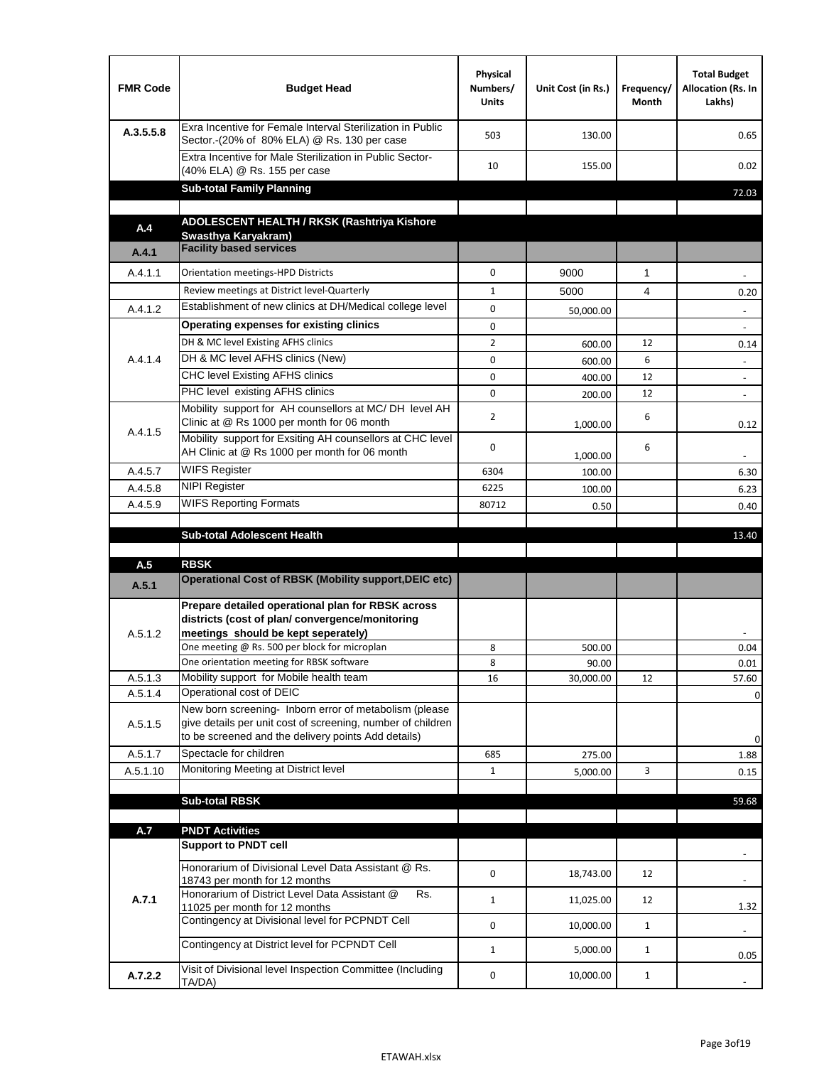| <b>FMR Code</b> | <b>Budget Head</b>                                                                                                                                                                          | Physical<br>Numbers/<br><b>Units</b> | Unit Cost (in Rs.) | Frequency/<br>Month | <b>Total Budget</b><br>Allocation (Rs. In<br>Lakhs) |
|-----------------|---------------------------------------------------------------------------------------------------------------------------------------------------------------------------------------------|--------------------------------------|--------------------|---------------------|-----------------------------------------------------|
| A.3.5.5.8       | Exra Incentive for Female Interval Sterilization in Public<br>Sector.-(20% of 80% ELA) @ Rs. 130 per case                                                                                   | 503                                  | 130.00             |                     | 0.65                                                |
|                 | Extra Incentive for Male Sterilization in Public Sector-<br>(40% ELA) @ Rs. 155 per case                                                                                                    | 10                                   | 155.00             |                     | 0.02                                                |
|                 | <b>Sub-total Family Planning</b>                                                                                                                                                            |                                      |                    |                     | 72.03                                               |
|                 | ADOLESCENT HEALTH / RKSK (Rashtriya Kishore                                                                                                                                                 |                                      |                    |                     |                                                     |
| A.4             | Swasthya Karyakram)                                                                                                                                                                         |                                      |                    |                     |                                                     |
| A.4.1           | <b>Facility based services</b>                                                                                                                                                              |                                      |                    |                     |                                                     |
| A.4.1.1         | Orientation meetings-HPD Districts                                                                                                                                                          | $\Omega$                             | 9000               | $\mathbf{1}$        |                                                     |
|                 | Review meetings at District level-Quarterly                                                                                                                                                 | $\mathbf{1}$                         | 5000               | 4                   | 0.20                                                |
| A.4.1.2         | Establishment of new clinics at DH/Medical college level                                                                                                                                    | 0                                    | 50,000.00          |                     |                                                     |
|                 | Operating expenses for existing clinics                                                                                                                                                     | 0                                    |                    |                     |                                                     |
|                 | DH & MC level Existing AFHS clinics                                                                                                                                                         | $\overline{2}$                       | 600.00             | 12                  | 0.14                                                |
| A.4.1.4         | DH & MC level AFHS clinics (New)                                                                                                                                                            | 0                                    | 600.00             | 6                   | $\overline{\phantom{a}}$                            |
|                 | CHC level Existing AFHS clinics                                                                                                                                                             | 0                                    | 400.00             | 12                  | $\overline{\phantom{a}}$                            |
|                 | PHC level existing AFHS clinics                                                                                                                                                             | $\Omega$                             | 200.00             | 12                  | $\sim$                                              |
| A.4.1.5         | Mobility support for AH counsellors at MC/DH level AH<br>Clinic at @ Rs 1000 per month for 06 month                                                                                         | 2                                    | 1,000.00           | 6                   | 0.12                                                |
|                 | Mobility support for Exsiting AH counsellors at CHC level<br>AH Clinic at @ Rs 1000 per month for 06 month                                                                                  | 0                                    | 1,000.00           | 6                   |                                                     |
| A.4.5.7         | <b>WIFS Register</b>                                                                                                                                                                        | 6304                                 | 100.00             |                     | 6.30                                                |
| A.4.5.8         | <b>NIPI Register</b>                                                                                                                                                                        | 6225                                 | 100.00             |                     | 6.23                                                |
| A.4.5.9         | <b>WIFS Reporting Formats</b>                                                                                                                                                               | 80712                                | 0.50               |                     | 0.40                                                |
|                 | <b>Sub-total Adolescent Health</b>                                                                                                                                                          |                                      |                    |                     | 13.40                                               |
| A.5             | <b>RBSK</b>                                                                                                                                                                                 |                                      |                    |                     |                                                     |
| A.5.1           | <b>Operational Cost of RBSK (Mobility support, DEIC etc)</b>                                                                                                                                |                                      |                    |                     |                                                     |
| A.5.1.2         | Prepare detailed operational plan for RBSK across<br>districts (cost of plan/convergence/monitoring<br>meetings should be kept seperately)<br>One meeting @ Rs. 500 per block for microplan | 8                                    | 500.00             |                     | 0.04                                                |
| A.5.1.3         | One orientation meeting for RBSK software<br>Mobility support for Mobile health team                                                                                                        | 8<br>16                              | 90.00<br>30,000.00 | 12                  | 0.01<br>57.60                                       |
| A.5.1.4         | Operational cost of DEIC                                                                                                                                                                    |                                      |                    |                     | 0                                                   |
| A.5.1.5         | New born screening- Inborn error of metabolism (please<br>give details per unit cost of screening, number of children<br>to be screened and the delivery points Add details)                |                                      |                    |                     | 0                                                   |
| A.5.1.7         | Spectacle for children                                                                                                                                                                      | 685                                  | 275.00             |                     | 1.88                                                |
| A.5.1.10        | Monitoring Meeting at District level                                                                                                                                                        | $\mathbf{1}$                         | 5,000.00           | 3                   | 0.15                                                |
|                 |                                                                                                                                                                                             |                                      |                    |                     |                                                     |
|                 | <b>Sub-total RBSK</b>                                                                                                                                                                       |                                      |                    |                     | 59.68                                               |
| A.7             | <b>PNDT Activities</b>                                                                                                                                                                      |                                      |                    |                     |                                                     |
|                 | <b>Support to PNDT cell</b>                                                                                                                                                                 |                                      |                    |                     |                                                     |
| A.7.1           | Honorarium of Divisional Level Data Assistant @ Rs.<br>18743 per month for 12 months                                                                                                        | 0                                    | 18,743.00          | 12                  |                                                     |
|                 | Honorarium of District Level Data Assistant @<br>Rs.<br>11025 per month for 12 months                                                                                                       | $\mathbf{1}$                         | 11,025.00          | 12                  | 1.32                                                |
|                 | Contingency at Divisional level for PCPNDT Cell                                                                                                                                             | 0                                    | 10,000.00          | $\mathbf{1}$        | $\overline{\phantom{a}}$                            |
|                 | Contingency at District level for PCPNDT Cell                                                                                                                                               | $\mathbf{1}$                         | 5,000.00           | $\mathbf{1}$        | 0.05                                                |
| A.7.2.2         | Visit of Divisional level Inspection Committee (Including<br>TA/DA)                                                                                                                         | 0                                    | 10,000.00          | $\mathbf{1}$        |                                                     |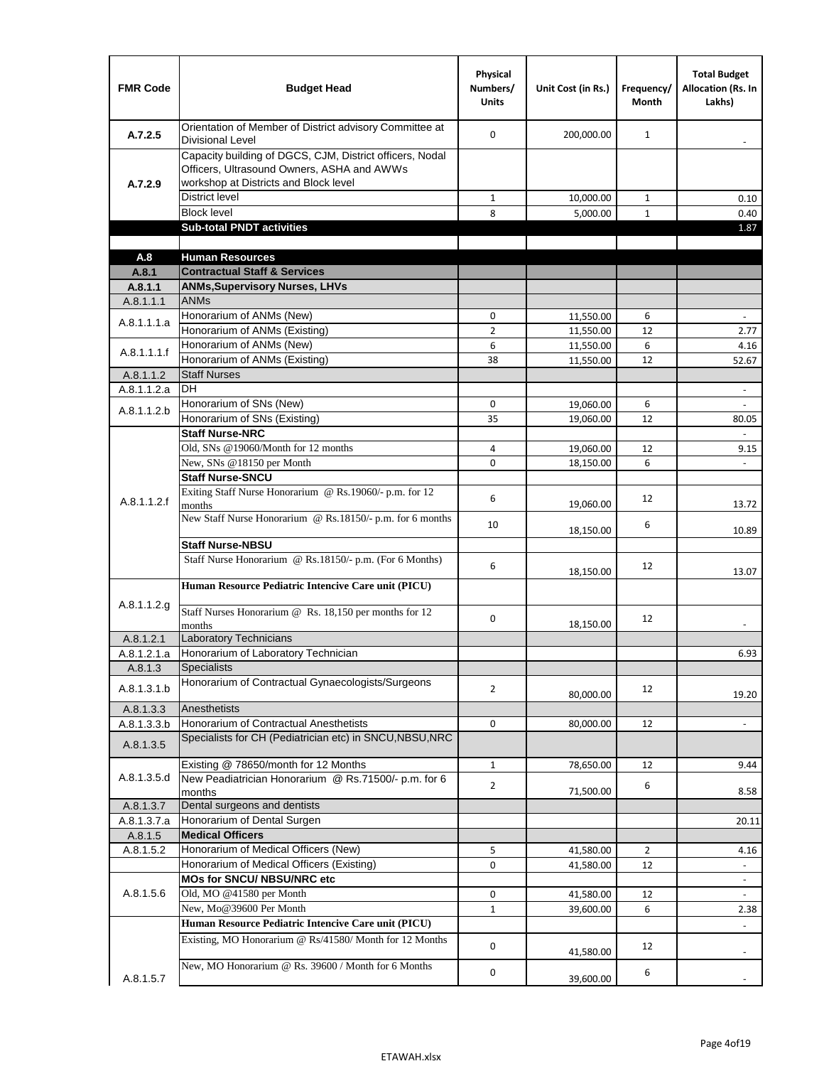| <b>FMR Code</b> | <b>Budget Head</b>                                                                                                                              | Physical<br>Numbers/<br><b>Units</b> | Unit Cost (in Rs.) | Frequency/<br><b>Month</b> | <b>Total Budget</b><br><b>Allocation (Rs. In</b><br>Lakhs) |
|-----------------|-------------------------------------------------------------------------------------------------------------------------------------------------|--------------------------------------|--------------------|----------------------------|------------------------------------------------------------|
| A.7.2.5         | Orientation of Member of District advisory Committee at<br><b>Divisional Level</b>                                                              | $\Omega$                             | 200,000.00         | $\mathbf{1}$               | $\qquad \qquad \blacksquare$                               |
| A.7.2.9         | Capacity building of DGCS, CJM, District officers, Nodal<br>Officers, Ultrasound Owners, ASHA and AWWs<br>workshop at Districts and Block level |                                      |                    |                            |                                                            |
|                 | <b>District level</b>                                                                                                                           | $\mathbf{1}$                         | 10,000.00          | 1                          | 0.10                                                       |
|                 | <b>Block level</b>                                                                                                                              | 8                                    | 5,000.00           | $\mathbf{1}$               | 0.40                                                       |
|                 | <b>Sub-total PNDT activities</b>                                                                                                                |                                      |                    |                            | 1.87                                                       |
|                 |                                                                                                                                                 |                                      |                    |                            |                                                            |
| A.8             | <b>Human Resources</b>                                                                                                                          |                                      |                    |                            |                                                            |
| A.8.1           | <b>Contractual Staff &amp; Services</b>                                                                                                         |                                      |                    |                            |                                                            |
| A.8.1.1         | <b>ANMs, Supervisory Nurses, LHVs</b>                                                                                                           |                                      |                    |                            |                                                            |
| A.8.1.1.1       | <b>ANMs</b>                                                                                                                                     |                                      |                    |                            |                                                            |
| A.8.1.1.1.a     | Honorarium of ANMs (New)<br>Honorarium of ANMs (Existing)                                                                                       | 0<br>$\overline{2}$                  | 11,550.00          | 6                          | $\blacksquare$                                             |
|                 | Honorarium of ANMs (New)                                                                                                                        | 6                                    | 11,550.00          | 12<br>6                    | 2.77                                                       |
| A.8.1.1.1.f     | Honorarium of ANMs (Existing)                                                                                                                   | 38                                   | 11,550.00          | 12                         | 4.16                                                       |
| A.8.1.1.2       | <b>Staff Nurses</b>                                                                                                                             |                                      | 11,550.00          |                            | 52.67                                                      |
| A.8.1.1.2.a     | <b>DH</b>                                                                                                                                       |                                      |                    |                            | $\blacksquare$                                             |
|                 | Honorarium of SNs (New)                                                                                                                         | 0                                    | 19,060.00          | 6                          |                                                            |
| A.8.1.1.2.b     | Honorarium of SNs (Existing)                                                                                                                    | 35                                   | 19,060.00          | 12                         | 80.05                                                      |
|                 | <b>Staff Nurse-NRC</b>                                                                                                                          |                                      |                    |                            | $\overline{\phantom{a}}$                                   |
|                 | Old, SNs @19060/Month for 12 months                                                                                                             | 4                                    | 19,060.00          | 12                         | 9.15                                                       |
|                 | New, SNs @18150 per Month                                                                                                                       | 0                                    | 18,150.00          | 6                          |                                                            |
|                 | <b>Staff Nurse-SNCU</b>                                                                                                                         |                                      |                    |                            |                                                            |
| A.8.1.1.2.f     | Exiting Staff Nurse Honorarium @ Rs.19060/- p.m. for 12<br>months                                                                               | 6                                    | 19,060.00          | 12                         | 13.72                                                      |
|                 | New Staff Nurse Honorarium @ Rs.18150/- p.m. for 6 months                                                                                       | 10                                   | 18,150.00          | 6                          | 10.89                                                      |
|                 | <b>Staff Nurse-NBSU</b>                                                                                                                         |                                      |                    |                            |                                                            |
|                 | Staff Nurse Honorarium @ Rs.18150/- p.m. (For 6 Months)                                                                                         | 6                                    | 18,150.00          | 12                         | 13.07                                                      |
|                 | Human Resource Pediatric Intencive Care unit (PICU)                                                                                             |                                      |                    |                            |                                                            |
| A.8.1.1.2.g     | Staff Nurses Honorarium @ Rs. 18,150 per months for 12<br>months                                                                                | 0                                    | 18,150.00          | 12                         |                                                            |
| A.8.1.2.1       | <b>Laboratory Technicians</b>                                                                                                                   |                                      |                    |                            |                                                            |
| A.8.1.2.1.a     | Honorarium of Laboratory Technician                                                                                                             |                                      |                    |                            | 6.93                                                       |
| A.8.1.3         | <b>Specialists</b>                                                                                                                              |                                      |                    |                            |                                                            |
| A.8.1.3.1.b     | Honorarium of Contractual Gynaecologists/Surgeons                                                                                               | $\overline{2}$                       | 80,000.00          | 12                         | 19.20                                                      |
| A.8.1.3.3       | Anesthetists                                                                                                                                    |                                      |                    |                            |                                                            |
| A.8.1.3.3.b     | Honorarium of Contractual Anesthetists                                                                                                          | 0                                    | 80,000.00          | 12                         | $\blacksquare$                                             |
| A.8.1.3.5       | Specialists for CH (Pediatrician etc) in SNCU, NBSU, NRC                                                                                        |                                      |                    |                            |                                                            |
|                 | Existing @ 78650/month for 12 Months                                                                                                            | $\mathbf{1}$                         | 78,650.00          | 12                         | 9.44                                                       |
| A.8.1.3.5.d     | New Peadiatrician Honorarium @ Rs.71500/- p.m. for 6<br>months                                                                                  | $\overline{2}$                       | 71,500.00          | 6                          | 8.58                                                       |
| A.8.1.3.7       | Dental surgeons and dentists                                                                                                                    |                                      |                    |                            |                                                            |
| A.8.1.3.7.a     | Honorarium of Dental Surgen                                                                                                                     |                                      |                    |                            | 20.11                                                      |
| A.8.1.5         | <b>Medical Officers</b>                                                                                                                         |                                      |                    |                            |                                                            |
| A.8.1.5.2       | Honorarium of Medical Officers (New)                                                                                                            | 5                                    | 41,580.00          | $\overline{2}$             | 4.16                                                       |
|                 | Honorarium of Medical Officers (Existing)                                                                                                       | 0                                    | 41,580.00          | 12                         |                                                            |
|                 | MOs for SNCU/ NBSU/NRC etc                                                                                                                      |                                      |                    |                            |                                                            |
| A.8.1.5.6       | Old, MO @41580 per Month                                                                                                                        | 0                                    | 41,580.00          | 12                         | $\blacksquare$                                             |
|                 | New, Mo@39600 Per Month                                                                                                                         | $\mathbf{1}$                         | 39,600.00          | 6                          | 2.38                                                       |
|                 | Human Resource Pediatric Intencive Care unit (PICU)                                                                                             |                                      |                    |                            |                                                            |
|                 | Existing, MO Honorarium @ Rs/41580/ Month for 12 Months                                                                                         | $\mathbf 0$                          | 41,580.00          | 12                         |                                                            |
| A.8.1.5.7       | New, MO Honorarium @ Rs. 39600 / Month for 6 Months                                                                                             | 0                                    | 39,600.00          | 6                          |                                                            |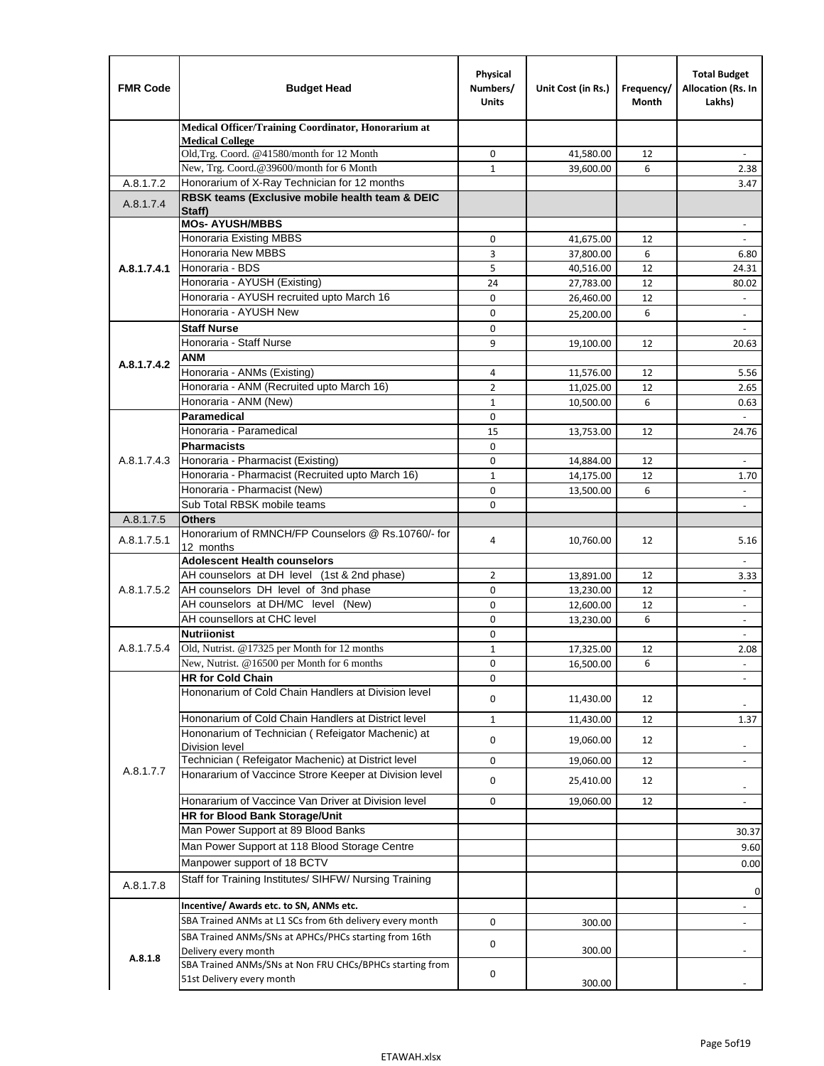| <b>FMR Code</b> | <b>Budget Head</b>                                                                    | Physical<br>Numbers/<br><b>Units</b> | Unit Cost (in Rs.)     | Frequency/<br>Month | <b>Total Budget</b><br>Allocation (Rs. In<br>Lakhs) |
|-----------------|---------------------------------------------------------------------------------------|--------------------------------------|------------------------|---------------------|-----------------------------------------------------|
|                 | Medical Officer/Training Coordinator, Honorarium at                                   |                                      |                        |                     |                                                     |
|                 | <b>Medical College</b><br>Old, Trg. Coord. @41580/month for 12 Month                  | 0                                    | 41,580.00              | 12                  |                                                     |
|                 | New, Trg. Coord.@39600/month for 6 Month                                              | $\mathbf{1}$                         | 39,600.00              | 6                   | 2.38                                                |
| A.8.1.7.2       | Honorarium of X-Ray Technician for 12 months                                          |                                      |                        |                     | 3.47                                                |
| A.8.1.7.4       | RBSK teams (Exclusive mobile health team & DEIC                                       |                                      |                        |                     |                                                     |
|                 | Staff)                                                                                |                                      |                        |                     |                                                     |
|                 | <b>MOs- AYUSH/MBBS</b>                                                                |                                      |                        |                     |                                                     |
|                 | Honoraria Existing MBBS<br><b>Honoraria New MBBS</b>                                  | $\mathbf 0$                          | 41,675.00              | 12                  | $\omega$                                            |
| A.8.1.7.4.1     | Honoraria - BDS                                                                       | 3<br>5                               | 37,800.00<br>40,516.00 | 6<br>12             | 6.80<br>24.31                                       |
|                 | Honoraria - AYUSH (Existing)                                                          | 24                                   | 27,783.00              | 12                  | 80.02                                               |
|                 | Honoraria - AYUSH recruited upto March 16                                             | $\Omega$                             | 26,460.00              | 12                  | $\overline{\phantom{a}}$                            |
|                 | Honoraria - AYUSH New                                                                 | $\mathbf 0$                          | 25,200.00              | 6                   | $\overline{\phantom{a}}$                            |
|                 | <b>Staff Nurse</b>                                                                    | $\Omega$                             |                        |                     |                                                     |
|                 | Honoraria - Staff Nurse                                                               | 9                                    | 19,100.00              | 12                  | 20.63                                               |
| A.8.1.7.4.2     | <b>ANM</b>                                                                            |                                      |                        |                     |                                                     |
|                 | Honoraria - ANMs (Existing)                                                           | 4                                    | 11,576.00              | 12                  | 5.56                                                |
|                 | Honoraria - ANM (Recruited upto March 16)                                             | $\overline{2}$                       | 11,025.00              | 12                  | 2.65                                                |
|                 | Honoraria - ANM (New)                                                                 | $\mathbf{1}$                         | 10,500.00              | 6                   | 0.63                                                |
|                 | Paramedical                                                                           | $\mathbf 0$                          |                        |                     | $\omega$                                            |
|                 | Honoraria - Paramedical                                                               | 15                                   | 13,753.00              | 12                  | 24.76                                               |
|                 | <b>Pharmacists</b>                                                                    | $\mathbf 0$                          |                        |                     |                                                     |
| A.8.1.7.4.3     | Honoraria - Pharmacist (Existing)<br>Honoraria - Pharmacist (Recruited upto March 16) | $\mathbf 0$<br>$\mathbf{1}$          | 14,884.00              | 12                  | $\blacksquare$                                      |
|                 | Honoraria - Pharmacist (New)                                                          | $\Omega$                             | 14,175.00<br>13,500.00 | 12<br>6             | 1.70                                                |
|                 | Sub Total RBSK mobile teams                                                           | $\Omega$                             |                        |                     | $\overline{\phantom{a}}$                            |
| A.8.1.7.5       | <b>Others</b>                                                                         |                                      |                        |                     |                                                     |
| A.8.1.7.5.1     | Honorarium of RMNCH/FP Counselors @ Rs.10760/- for                                    | 4                                    | 10,760.00              | 12                  | 5.16                                                |
|                 | 12 months                                                                             |                                      |                        |                     |                                                     |
|                 | <b>Adolescent Health counselors</b>                                                   |                                      |                        |                     | $\blacksquare$                                      |
|                 | AH counselors at DH level (1st & 2nd phase)                                           | 2                                    | 13,891.00              | 12                  | 3.33                                                |
| A.8.1.7.5.2     | AH counselors DH level of 3nd phase<br>AH counselors at DH/MC level (New)             | $\mathbf 0$<br>0                     | 13,230.00<br>12,600.00 | 12<br>12            | $\blacksquare$<br>$\overline{\phantom{a}}$          |
|                 | AH counsellors at CHC level                                                           | $\mathbf 0$                          | 13,230.00              | 6                   | $\blacksquare$                                      |
|                 | <b>Nutriionist</b>                                                                    | $\mathbf 0$                          |                        |                     | $\overline{\phantom{a}}$                            |
| A.8.1.7.5.4     | Old, Nutrist. @17325 per Month for 12 months                                          | $\mathbf{1}$                         | 17,325.00              | 12                  | 2.08                                                |
|                 | New, Nutrist. $@16500$ per Month for 6 months                                         | 0                                    | 16,500.00              | 6                   |                                                     |
|                 | <b>HR for Cold Chain</b>                                                              | 0                                    |                        |                     |                                                     |
|                 | Hononarium of Cold Chain Handlers at Division level                                   | 0                                    | 11,430.00              | 12                  |                                                     |
|                 | Hononarium of Cold Chain Handlers at District level                                   | $\mathbf{1}$                         | 11,430.00              | 12                  | 1.37                                                |
| A.8.1.7.7       | Hononarium of Technician (Refeigator Machenic) at                                     |                                      |                        |                     |                                                     |
|                 | <b>Division level</b>                                                                 | 0                                    | 19,060.00              | 12                  | ۰                                                   |
|                 | Technician (Refeigator Machenic) at District level                                    | 0                                    | 19,060.00              | 12                  | ÷,                                                  |
|                 | Honararium of Vaccince Strore Keeper at Division level                                | 0                                    | 25,410.00              | 12                  | $\overline{\phantom{a}}$                            |
|                 | Honararium of Vaccince Van Driver at Division level                                   | 0                                    | 19,060.00              | 12                  | $\qquad \qquad \blacksquare$                        |
|                 | HR for Blood Bank Storage/Unit                                                        |                                      |                        |                     |                                                     |
|                 | Man Power Support at 89 Blood Banks                                                   |                                      |                        |                     | 30.37                                               |
|                 | Man Power Support at 118 Blood Storage Centre                                         |                                      |                        |                     | 9.60                                                |
|                 | Manpower support of 18 BCTV                                                           |                                      |                        |                     | 0.00                                                |
| A.8.1.7.8       | Staff for Training Institutes/ SIHFW/ Nursing Training                                |                                      |                        |                     | 0                                                   |
|                 | Incentive/ Awards etc. to SN, ANMs etc.                                               |                                      |                        |                     | $\qquad \qquad \blacksquare$                        |
|                 | SBA Trained ANMs at L1 SCs from 6th delivery every month                              | 0                                    | 300.00                 |                     | $\frac{1}{2}$                                       |
|                 | SBA Trained ANMs/SNs at APHCs/PHCs starting from 16th                                 |                                      |                        |                     |                                                     |
| A.8.1.8         | Delivery every month                                                                  | 0                                    | 300.00                 |                     |                                                     |
|                 | SBA Trained ANMs/SNs at Non FRU CHCs/BPHCs starting from                              | 0                                    |                        |                     |                                                     |
|                 | 51st Delivery every month                                                             |                                      | 300.00                 |                     |                                                     |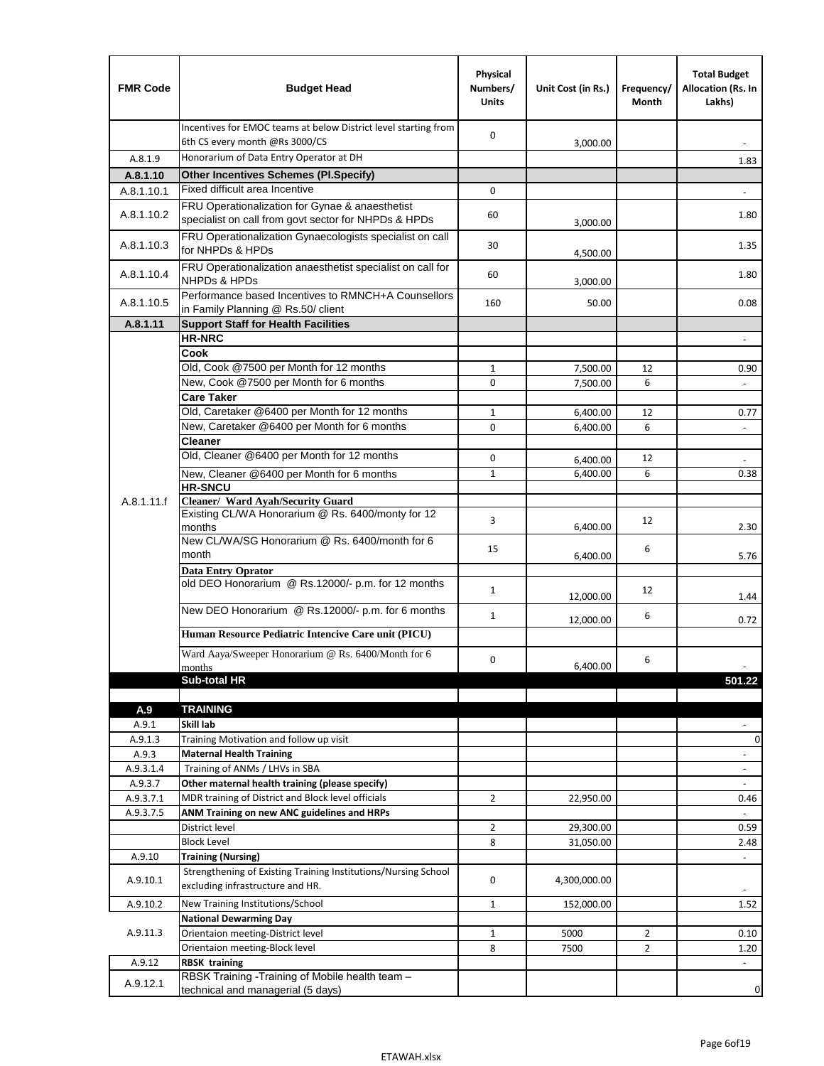| <b>FMR Code</b>  | <b>Budget Head</b>                                                                                      | Physical<br>Numbers/<br><b>Units</b> | Unit Cost (in Rs.)   | Frequency/<br>Month | <b>Total Budget</b><br>Allocation (Rs. In<br>Lakhs) |
|------------------|---------------------------------------------------------------------------------------------------------|--------------------------------------|----------------------|---------------------|-----------------------------------------------------|
|                  | Incentives for EMOC teams at below District level starting from<br>6th CS every month @Rs 3000/CS       | $\mathbf 0$                          | 3,000.00             |                     |                                                     |
| A.8.1.9          | Honorarium of Data Entry Operator at DH                                                                 |                                      |                      |                     | 1.83                                                |
| A.8.1.10         | <b>Other Incentives Schemes (PI.Specify)</b>                                                            |                                      |                      |                     |                                                     |
| A.8.1.10.1       | Fixed difficult area Incentive                                                                          | $\mathbf 0$                          |                      |                     |                                                     |
| A.8.1.10.2       | FRU Operationalization for Gynae & anaesthetist<br>specialist on call from govt sector for NHPDs & HPDs | 60                                   | 3,000.00             |                     | 1.80                                                |
| A.8.1.10.3       | FRU Operationalization Gynaecologists specialist on call<br>for NHPDs & HPDs                            | 30                                   | 4,500.00             |                     | 1.35                                                |
| A.8.1.10.4       | FRU Operationalization anaesthetist specialist on call for<br><b>NHPDs &amp; HPDs</b>                   | 60                                   | 3,000.00             |                     | 1.80                                                |
| A.8.1.10.5       | Performance based Incentives to RMNCH+A Counsellors<br>in Family Planning @ Rs.50/ client               | 160                                  | 50.00                |                     | 0.08                                                |
| A.8.1.11         | <b>Support Staff for Health Facilities</b>                                                              |                                      |                      |                     |                                                     |
|                  | <b>HR-NRC</b>                                                                                           |                                      |                      |                     | $\qquad \qquad \blacksquare$                        |
|                  | Cook                                                                                                    |                                      |                      |                     |                                                     |
|                  | Old, Cook @7500 per Month for 12 months                                                                 | $\mathbf{1}$                         | 7,500.00             | 12                  | 0.90                                                |
|                  | New, Cook @7500 per Month for 6 months                                                                  | 0                                    | 7,500.00             | 6                   | $\Box$                                              |
|                  | <b>Care Taker</b>                                                                                       |                                      |                      |                     |                                                     |
|                  | Old, Caretaker @6400 per Month for 12 months<br>New, Caretaker @6400 per Month for 6 months             | $\mathbf{1}$<br>0                    | 6,400.00             | 12<br>6             | 0.77<br>÷,                                          |
|                  | <b>Cleaner</b>                                                                                          |                                      | 6,400.00             |                     |                                                     |
|                  | Old, Cleaner @6400 per Month for 12 months                                                              | $\mathbf 0$                          |                      | 12                  |                                                     |
|                  | New, Cleaner @6400 per Month for 6 months                                                               | $\mathbf{1}$                         | 6,400.00<br>6,400.00 | 6                   | 0.38                                                |
|                  | <b>HR-SNCU</b>                                                                                          |                                      |                      |                     |                                                     |
| A.8.1.11.f       | Cleaner/ Ward Ayah/Security Guard                                                                       |                                      |                      |                     |                                                     |
|                  | Existing CL/WA Honorarium @ Rs. 6400/monty for 12<br>months                                             | 3                                    | 6,400.00             | 12                  | 2.30                                                |
|                  | New CL/WA/SG Honorarium @ Rs. 6400/month for 6<br>month                                                 | 15                                   | 6,400.00             | 6                   | 5.76                                                |
|                  | <b>Data Entry Oprator</b>                                                                               |                                      |                      |                     |                                                     |
|                  | old DEO Honorarium @ Rs.12000/- p.m. for 12 months                                                      | $\mathbf{1}$                         | 12,000.00            | 12                  | 1.44                                                |
|                  | New DEO Honorarium @ Rs.12000/- p.m. for 6 months                                                       | $\mathbf{1}$                         | 12,000.00            | 6                   | 0.72                                                |
|                  | Human Resource Pediatric Intencive Care unit (PICU)                                                     |                                      |                      |                     |                                                     |
|                  | Ward Aaya/Sweeper Honorarium @ Rs. 6400/Month for 6                                                     |                                      |                      |                     |                                                     |
|                  | months                                                                                                  | $\mathbf 0$                          | 6,400.00             | 6                   |                                                     |
|                  | Sub-total HR                                                                                            |                                      |                      |                     | 501.22                                              |
|                  |                                                                                                         |                                      |                      |                     |                                                     |
| A.9              | <b>TRAINING</b>                                                                                         |                                      |                      |                     |                                                     |
| A.9.1<br>A.9.1.3 | Skill lab<br>Training Motivation and follow up visit                                                    |                                      |                      |                     | 0                                                   |
| A.9.3            | <b>Maternal Health Training</b>                                                                         |                                      |                      |                     | $\blacksquare$                                      |
| A.9.3.1.4        | Training of ANMs / LHVs in SBA                                                                          |                                      |                      |                     | $\overline{\phantom{a}}$                            |
| A.9.3.7          | Other maternal health training (please specify)                                                         |                                      |                      |                     |                                                     |
| A.9.3.7.1        | MDR training of District and Block level officials                                                      | $\overline{2}$                       | 22,950.00            |                     | 0.46                                                |
| A.9.3.7.5        | ANM Training on new ANC guidelines and HRPs                                                             |                                      |                      |                     |                                                     |
|                  | District level                                                                                          | $\overline{2}$                       | 29,300.00            |                     | 0.59                                                |
|                  | <b>Block Level</b>                                                                                      | 8                                    | 31,050.00            |                     | 2.48                                                |
| A.9.10           | <b>Training (Nursing)</b>                                                                               |                                      |                      |                     | $\blacksquare$                                      |
| A.9.10.1         | Strengthening of Existing Training Institutions/Nursing School<br>excluding infrastructure and HR.      | 0                                    | 4,300,000.00         |                     |                                                     |
| A.9.10.2         | New Training Institutions/School                                                                        | $\mathbf{1}$                         | 152,000.00           |                     | 1.52                                                |
|                  | <b>National Dewarming Day</b>                                                                           |                                      |                      |                     |                                                     |
| A.9.11.3         | Orientaion meeting-District level                                                                       | $\mathbf 1$                          | 5000                 | $\overline{2}$      | 0.10                                                |
|                  | Orientaion meeting-Block level                                                                          | 8                                    | 7500                 | $\overline{2}$      | 1.20                                                |
| A.9.12           | <b>RBSK training</b>                                                                                    |                                      |                      |                     |                                                     |
| A.9.12.1         | RBSK Training -Training of Mobile health team -<br>technical and managerial (5 days)                    |                                      |                      |                     | 0                                                   |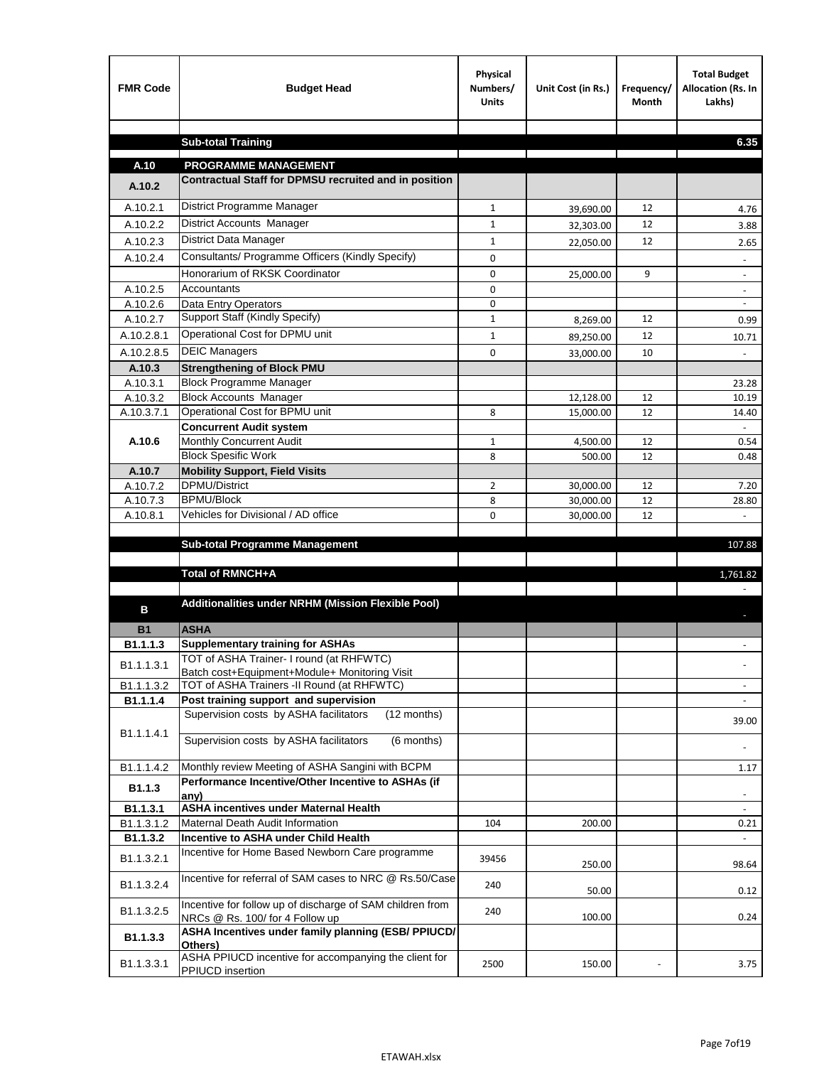| <b>FMR Code</b>    | <b>Budget Head</b>                                                                             | Physical<br>Numbers/<br><b>Units</b> | Unit Cost (in Rs.)     | Frequency/<br><b>Month</b> | <b>Total Budget</b><br>Allocation (Rs. In<br>Lakhs) |
|--------------------|------------------------------------------------------------------------------------------------|--------------------------------------|------------------------|----------------------------|-----------------------------------------------------|
|                    |                                                                                                |                                      |                        |                            |                                                     |
|                    | <b>Sub-total Training</b>                                                                      |                                      |                        |                            | 6.35                                                |
| A.10               | <b>PROGRAMME MANAGEMENT</b>                                                                    |                                      |                        |                            |                                                     |
| A.10.2             | Contractual Staff for DPMSU recruited and in position                                          |                                      |                        |                            |                                                     |
| A.10.2.1           | District Programme Manager                                                                     | $\mathbf{1}$                         |                        | 12                         |                                                     |
| A.10.2.2           | District Accounts Manager                                                                      | 1                                    | 39,690.00              | 12                         | 4.76                                                |
| A.10.2.3           | District Data Manager                                                                          | $\mathbf{1}$                         | 32,303.00              | 12                         | 3.88                                                |
| A.10.2.4           | Consultants/ Programme Officers (Kindly Specify)                                               | $\mathbf 0$                          | 22,050.00              |                            | 2.65                                                |
|                    | Honorarium of RKSK Coordinator                                                                 | 0                                    |                        | 9                          | $\overline{\phantom{a}}$                            |
| A.10.2.5           | Accountants                                                                                    | 0                                    | 25,000.00              |                            |                                                     |
| A.10.2.6           | Data Entry Operators                                                                           | 0                                    |                        |                            | $\overline{\phantom{a}}$                            |
| A.10.2.7           | Support Staff (Kindly Specify)                                                                 | $\mathbf{1}$                         | 8,269.00               | 12                         | 0.99                                                |
| A.10.2.8.1         | Operational Cost for DPMU unit                                                                 | $\mathbf{1}$                         | 89,250.00              | 12                         | 10.71                                               |
| A.10.2.8.5         | <b>DEIC Managers</b>                                                                           | $\mathbf 0$                          | 33,000.00              | 10                         |                                                     |
| A.10.3             | <b>Strengthening of Block PMU</b>                                                              |                                      |                        |                            |                                                     |
| A.10.3.1           | <b>Block Programme Manager</b>                                                                 |                                      |                        |                            | 23.28                                               |
| A.10.3.2           | <b>Block Accounts Manager</b>                                                                  |                                      | 12,128.00              | 12                         | 10.19                                               |
| A.10.3.7.1         | Operational Cost for BPMU unit                                                                 | 8                                    | 15,000.00              | 12                         | 14.40                                               |
|                    | <b>Concurrent Audit system</b>                                                                 |                                      |                        |                            |                                                     |
| A.10.6             | Monthly Concurrent Audit                                                                       | $\mathbf{1}$                         | 4,500.00               | 12                         | 0.54                                                |
|                    | <b>Block Spesific Work</b>                                                                     | 8                                    | 500.00                 | 12                         | 0.48                                                |
| A.10.7<br>A.10.7.2 | <b>Mobility Support, Field Visits</b><br>DPMU/District                                         |                                      |                        |                            |                                                     |
| A.10.7.3           | <b>BPMU/Block</b>                                                                              | 2<br>8                               | 30,000.00<br>30,000.00 | 12<br>12                   | 7.20<br>28.80                                       |
| A.10.8.1           | Vehicles for Divisional / AD office                                                            | 0                                    | 30,000.00              | 12                         |                                                     |
|                    |                                                                                                |                                      |                        |                            |                                                     |
|                    | <b>Sub-total Programme Management</b>                                                          |                                      |                        |                            | 107.88                                              |
|                    |                                                                                                |                                      |                        |                            |                                                     |
|                    | Total of RMNCH+A                                                                               |                                      |                        |                            | 1,761.82                                            |
| в                  | Additionalities under NRHM (Mission Flexible Pool)                                             |                                      |                        |                            |                                                     |
| <b>B1</b>          | <b>ASHA</b>                                                                                    |                                      |                        |                            |                                                     |
| B1.1.1.3           | <b>Supplementary training for ASHAs</b>                                                        |                                      |                        |                            |                                                     |
| B1.1.1.3.1         | TOT of ASHA Trainer- I round (at RHFWTC)                                                       |                                      |                        |                            |                                                     |
|                    | Batch cost+Equipment+Module+ Monitoring Visit                                                  |                                      |                        |                            |                                                     |
| B1.1.1.3.2         | TOT of ASHA Trainers -II Round (at RHFWTC)                                                     |                                      |                        |                            |                                                     |
| B1.1.1.4           | Post training support and supervision<br>Supervision costs by ASHA facilitators<br>(12 months) |                                      |                        |                            | $\sim$                                              |
|                    |                                                                                                |                                      |                        |                            | 39.00                                               |
| B1.1.1.4.1         | Supervision costs by ASHA facilitators<br>(6 months)                                           |                                      |                        |                            |                                                     |
| B1.1.1.4.2         | Monthly review Meeting of ASHA Sangini with BCPM                                               |                                      |                        |                            | 1.17                                                |
| B <sub>1.1.3</sub> | Performance Incentive/Other Incentive to ASHAs (if<br>any)                                     |                                      |                        |                            |                                                     |
| B1.1.3.1           | <b>ASHA incentives under Maternal Health</b>                                                   |                                      |                        |                            |                                                     |
| B1.1.3.1.2         | Maternal Death Audit Information                                                               | 104                                  | 200.00                 |                            | 0.21                                                |
| B1.1.3.2           | Incentive to ASHA under Child Health                                                           |                                      |                        |                            | ÷.                                                  |
| B1.1.3.2.1         | Incentive for Home Based Newborn Care programme                                                | 39456                                | 250.00                 |                            | 98.64                                               |
| B1.1.3.2.4         | Incentive for referral of SAM cases to NRC @ Rs.50/Case                                        | 240                                  | 50.00                  |                            | 0.12                                                |
| B1.1.3.2.5         | Incentive for follow up of discharge of SAM children from<br>NRCs @ Rs. 100/ for 4 Follow up   | 240                                  | 100.00                 |                            | 0.24                                                |
| B1.1.3.3           | ASHA Incentives under family planning (ESB/ PPIUCD/<br>Others)                                 |                                      |                        |                            |                                                     |
| B1.1.3.3.1         | ASHA PPIUCD incentive for accompanying the client for<br>PPIUCD insertion                      | 2500                                 | 150.00                 |                            | 3.75                                                |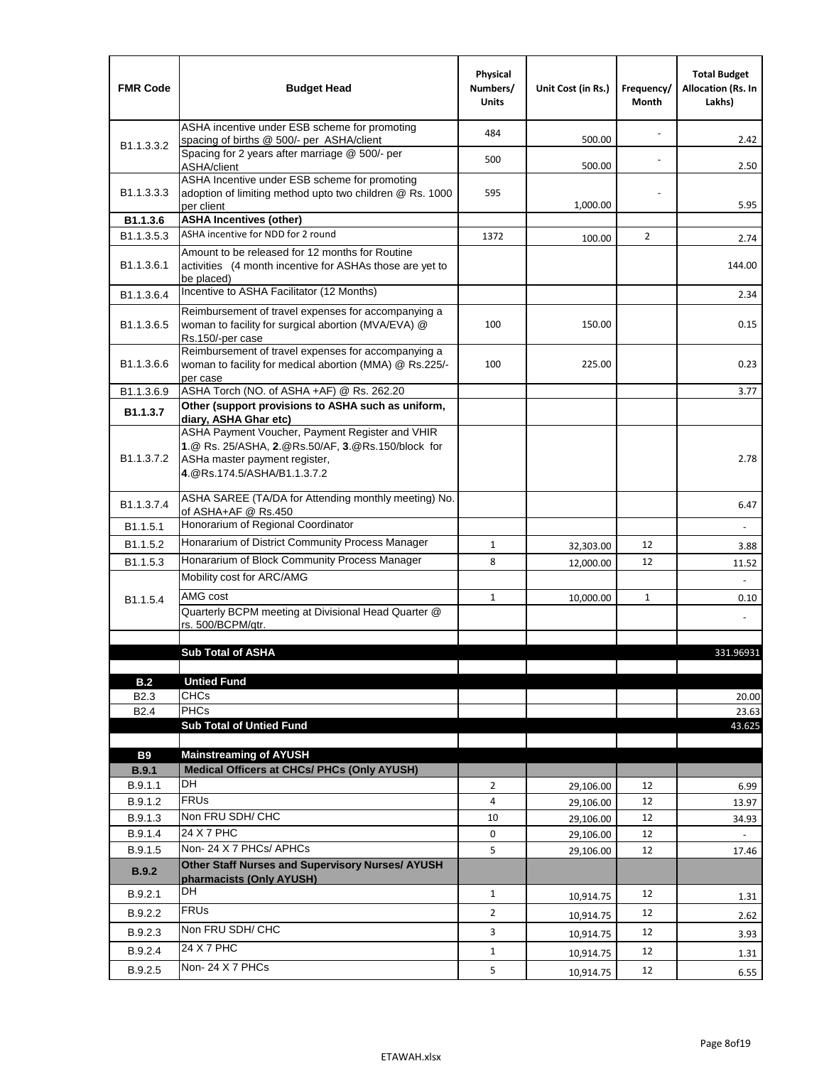| ASHA incentive under ESB scheme for promoting<br>484<br>500.00<br>spacing of births @ 500/- per ASHA/client<br>B <sub>1.1</sub> , 3, 3, 2<br>Spacing for 2 years after marriage @ 500/- per<br>500<br>500.00<br>ASHA/client<br>ASHA Incentive under ESB scheme for promoting<br>B1.1.3.3.3<br>adoption of limiting method upto two children @ Rs. 1000<br>595<br>1,000.00<br>per client<br><b>ASHA Incentives (other)</b><br>B1.1.3.6<br>ASHA incentive for NDD for 2 round<br>B <sub>1.1</sub> , 3, 5, 3<br>1372<br>$\overline{2}$<br>100.00<br>Amount to be released for 12 months for Routine<br>B <sub>1.1</sub> .3.6.1<br>activities (4 month incentive for ASHAs those are yet to<br>be placed)<br>Incentive to ASHA Facilitator (12 Months)<br>B1.1.3.6.4<br>Reimbursement of travel expenses for accompanying a<br>woman to facility for surgical abortion (MVA/EVA) @<br>B <sub>1.1</sub> .3.6.5<br>100<br>150.00<br>Rs.150/-per case<br>Reimbursement of travel expenses for accompanying a<br>100<br>B <sub>1.1</sub> .3.6.6<br>woman to facility for medical abortion (MMA) @ Rs.225/-<br>225.00<br>per case<br>ASHA Torch (NO. of ASHA +AF) @ Rs. 262.20<br>B1.1.3.6.9<br>Other (support provisions to ASHA such as uniform,<br>B1.1.3.7<br>diary, ASHA Ghar etc)<br>ASHA Payment Voucher, Payment Register and VHIR<br>1.@ Rs. 25/ASHA, 2.@Rs.50/AF, 3.@Rs.150/block for<br>B <sub>1.1</sub> .3.7.2<br>ASHa master payment register,<br>4. @Rs.174.5/ASHA/B1.1.3.7.2<br>ASHA SAREE (TA/DA for Attending monthly meeting) No.<br>B <sub>1.1</sub> , 3.7.4<br>of ASHA+AF @ Rs.450<br>Honorarium of Regional Coordinator<br>B <sub>1.1</sub> .5.1<br>Honararium of District Community Process Manager<br>B1.1.5.2<br>$\mathbf{1}$<br>12<br>32,303.00<br>Honararium of Block Community Process Manager<br>B <sub>1.1</sub> .5.3<br>8<br>12<br>12,000.00<br>11.52<br>Mobility cost for ARC/AMG<br>AMG cost<br>$\mathbf{1}$<br>10,000.00<br>$\mathbf{1}$<br>B <sub>1.1.5.4</sub><br>Quarterly BCPM meeting at Divisional Head Quarter @<br>rs. 500/BCPM/qtr.<br><b>Sub Total of ASHA</b><br><b>Untied Fund</b><br>B.2<br><b>CHCs</b><br>B <sub>2.3</sub><br><b>PHCs</b><br>B <sub>2.4</sub><br>23.63<br><b>Sub Total of Untied Fund</b><br>43.625<br><b>B9</b><br><b>Mainstreaming of AYUSH</b><br>Medical Officers at CHCs/ PHCs (Only AYUSH)<br>B.9.1<br><b>DH</b><br>B.9.1.1<br>$\overline{2}$<br>12<br>29,106.00<br><b>FRUs</b><br>B.9.1.2<br>4<br>12<br>29,106.00<br>Non FRU SDH/ CHC<br>B.9.1.3<br>10<br>12<br>29,106.00<br>24 X 7 PHC | <b>FMR Code</b> | <b>Budget Head</b> | Physical<br>Numbers/<br><b>Units</b> | Unit Cost (in Rs.) | Frequency/<br>Month | <b>Total Budget</b><br><b>Allocation (Rs. In</b><br>Lakhs) |
|------------------------------------------------------------------------------------------------------------------------------------------------------------------------------------------------------------------------------------------------------------------------------------------------------------------------------------------------------------------------------------------------------------------------------------------------------------------------------------------------------------------------------------------------------------------------------------------------------------------------------------------------------------------------------------------------------------------------------------------------------------------------------------------------------------------------------------------------------------------------------------------------------------------------------------------------------------------------------------------------------------------------------------------------------------------------------------------------------------------------------------------------------------------------------------------------------------------------------------------------------------------------------------------------------------------------------------------------------------------------------------------------------------------------------------------------------------------------------------------------------------------------------------------------------------------------------------------------------------------------------------------------------------------------------------------------------------------------------------------------------------------------------------------------------------------------------------------------------------------------------------------------------------------------------------------------------------------------------------------------------------------------------------------------------------------------------------------------------------------------------------------------------------------------------------------------------------------------------------------------------------------------------------------------------------------------------------------------------------------------------------------------------------------------------------------------------------------------------------------------------------------------------------------------------|-----------------|--------------------|--------------------------------------|--------------------|---------------------|------------------------------------------------------------|
|                                                                                                                                                                                                                                                                                                                                                                                                                                                                                                                                                                                                                                                                                                                                                                                                                                                                                                                                                                                                                                                                                                                                                                                                                                                                                                                                                                                                                                                                                                                                                                                                                                                                                                                                                                                                                                                                                                                                                                                                                                                                                                                                                                                                                                                                                                                                                                                                                                                                                                                                                      |                 |                    |                                      |                    |                     | 2.42                                                       |
|                                                                                                                                                                                                                                                                                                                                                                                                                                                                                                                                                                                                                                                                                                                                                                                                                                                                                                                                                                                                                                                                                                                                                                                                                                                                                                                                                                                                                                                                                                                                                                                                                                                                                                                                                                                                                                                                                                                                                                                                                                                                                                                                                                                                                                                                                                                                                                                                                                                                                                                                                      |                 |                    |                                      |                    |                     | 2.50                                                       |
|                                                                                                                                                                                                                                                                                                                                                                                                                                                                                                                                                                                                                                                                                                                                                                                                                                                                                                                                                                                                                                                                                                                                                                                                                                                                                                                                                                                                                                                                                                                                                                                                                                                                                                                                                                                                                                                                                                                                                                                                                                                                                                                                                                                                                                                                                                                                                                                                                                                                                                                                                      |                 |                    |                                      |                    |                     | 5.95                                                       |
|                                                                                                                                                                                                                                                                                                                                                                                                                                                                                                                                                                                                                                                                                                                                                                                                                                                                                                                                                                                                                                                                                                                                                                                                                                                                                                                                                                                                                                                                                                                                                                                                                                                                                                                                                                                                                                                                                                                                                                                                                                                                                                                                                                                                                                                                                                                                                                                                                                                                                                                                                      |                 |                    |                                      |                    |                     |                                                            |
|                                                                                                                                                                                                                                                                                                                                                                                                                                                                                                                                                                                                                                                                                                                                                                                                                                                                                                                                                                                                                                                                                                                                                                                                                                                                                                                                                                                                                                                                                                                                                                                                                                                                                                                                                                                                                                                                                                                                                                                                                                                                                                                                                                                                                                                                                                                                                                                                                                                                                                                                                      |                 |                    |                                      |                    |                     | 2.74                                                       |
|                                                                                                                                                                                                                                                                                                                                                                                                                                                                                                                                                                                                                                                                                                                                                                                                                                                                                                                                                                                                                                                                                                                                                                                                                                                                                                                                                                                                                                                                                                                                                                                                                                                                                                                                                                                                                                                                                                                                                                                                                                                                                                                                                                                                                                                                                                                                                                                                                                                                                                                                                      |                 |                    |                                      |                    |                     | 144.00                                                     |
|                                                                                                                                                                                                                                                                                                                                                                                                                                                                                                                                                                                                                                                                                                                                                                                                                                                                                                                                                                                                                                                                                                                                                                                                                                                                                                                                                                                                                                                                                                                                                                                                                                                                                                                                                                                                                                                                                                                                                                                                                                                                                                                                                                                                                                                                                                                                                                                                                                                                                                                                                      |                 |                    |                                      |                    |                     | 2.34                                                       |
|                                                                                                                                                                                                                                                                                                                                                                                                                                                                                                                                                                                                                                                                                                                                                                                                                                                                                                                                                                                                                                                                                                                                                                                                                                                                                                                                                                                                                                                                                                                                                                                                                                                                                                                                                                                                                                                                                                                                                                                                                                                                                                                                                                                                                                                                                                                                                                                                                                                                                                                                                      |                 |                    |                                      |                    |                     | 0.15                                                       |
|                                                                                                                                                                                                                                                                                                                                                                                                                                                                                                                                                                                                                                                                                                                                                                                                                                                                                                                                                                                                                                                                                                                                                                                                                                                                                                                                                                                                                                                                                                                                                                                                                                                                                                                                                                                                                                                                                                                                                                                                                                                                                                                                                                                                                                                                                                                                                                                                                                                                                                                                                      |                 |                    |                                      |                    |                     | 0.23                                                       |
|                                                                                                                                                                                                                                                                                                                                                                                                                                                                                                                                                                                                                                                                                                                                                                                                                                                                                                                                                                                                                                                                                                                                                                                                                                                                                                                                                                                                                                                                                                                                                                                                                                                                                                                                                                                                                                                                                                                                                                                                                                                                                                                                                                                                                                                                                                                                                                                                                                                                                                                                                      |                 |                    |                                      |                    |                     | 3.77                                                       |
|                                                                                                                                                                                                                                                                                                                                                                                                                                                                                                                                                                                                                                                                                                                                                                                                                                                                                                                                                                                                                                                                                                                                                                                                                                                                                                                                                                                                                                                                                                                                                                                                                                                                                                                                                                                                                                                                                                                                                                                                                                                                                                                                                                                                                                                                                                                                                                                                                                                                                                                                                      |                 |                    |                                      |                    |                     |                                                            |
|                                                                                                                                                                                                                                                                                                                                                                                                                                                                                                                                                                                                                                                                                                                                                                                                                                                                                                                                                                                                                                                                                                                                                                                                                                                                                                                                                                                                                                                                                                                                                                                                                                                                                                                                                                                                                                                                                                                                                                                                                                                                                                                                                                                                                                                                                                                                                                                                                                                                                                                                                      |                 |                    |                                      |                    |                     | 2.78                                                       |
|                                                                                                                                                                                                                                                                                                                                                                                                                                                                                                                                                                                                                                                                                                                                                                                                                                                                                                                                                                                                                                                                                                                                                                                                                                                                                                                                                                                                                                                                                                                                                                                                                                                                                                                                                                                                                                                                                                                                                                                                                                                                                                                                                                                                                                                                                                                                                                                                                                                                                                                                                      |                 |                    |                                      |                    |                     | 6.47                                                       |
|                                                                                                                                                                                                                                                                                                                                                                                                                                                                                                                                                                                                                                                                                                                                                                                                                                                                                                                                                                                                                                                                                                                                                                                                                                                                                                                                                                                                                                                                                                                                                                                                                                                                                                                                                                                                                                                                                                                                                                                                                                                                                                                                                                                                                                                                                                                                                                                                                                                                                                                                                      |                 |                    |                                      |                    |                     |                                                            |
|                                                                                                                                                                                                                                                                                                                                                                                                                                                                                                                                                                                                                                                                                                                                                                                                                                                                                                                                                                                                                                                                                                                                                                                                                                                                                                                                                                                                                                                                                                                                                                                                                                                                                                                                                                                                                                                                                                                                                                                                                                                                                                                                                                                                                                                                                                                                                                                                                                                                                                                                                      |                 |                    |                                      |                    |                     | 3.88                                                       |
|                                                                                                                                                                                                                                                                                                                                                                                                                                                                                                                                                                                                                                                                                                                                                                                                                                                                                                                                                                                                                                                                                                                                                                                                                                                                                                                                                                                                                                                                                                                                                                                                                                                                                                                                                                                                                                                                                                                                                                                                                                                                                                                                                                                                                                                                                                                                                                                                                                                                                                                                                      |                 |                    |                                      |                    |                     |                                                            |
|                                                                                                                                                                                                                                                                                                                                                                                                                                                                                                                                                                                                                                                                                                                                                                                                                                                                                                                                                                                                                                                                                                                                                                                                                                                                                                                                                                                                                                                                                                                                                                                                                                                                                                                                                                                                                                                                                                                                                                                                                                                                                                                                                                                                                                                                                                                                                                                                                                                                                                                                                      |                 |                    |                                      |                    |                     |                                                            |
|                                                                                                                                                                                                                                                                                                                                                                                                                                                                                                                                                                                                                                                                                                                                                                                                                                                                                                                                                                                                                                                                                                                                                                                                                                                                                                                                                                                                                                                                                                                                                                                                                                                                                                                                                                                                                                                                                                                                                                                                                                                                                                                                                                                                                                                                                                                                                                                                                                                                                                                                                      |                 |                    |                                      |                    |                     | 0.10                                                       |
|                                                                                                                                                                                                                                                                                                                                                                                                                                                                                                                                                                                                                                                                                                                                                                                                                                                                                                                                                                                                                                                                                                                                                                                                                                                                                                                                                                                                                                                                                                                                                                                                                                                                                                                                                                                                                                                                                                                                                                                                                                                                                                                                                                                                                                                                                                                                                                                                                                                                                                                                                      |                 |                    |                                      |                    |                     |                                                            |
|                                                                                                                                                                                                                                                                                                                                                                                                                                                                                                                                                                                                                                                                                                                                                                                                                                                                                                                                                                                                                                                                                                                                                                                                                                                                                                                                                                                                                                                                                                                                                                                                                                                                                                                                                                                                                                                                                                                                                                                                                                                                                                                                                                                                                                                                                                                                                                                                                                                                                                                                                      |                 |                    |                                      |                    |                     |                                                            |
|                                                                                                                                                                                                                                                                                                                                                                                                                                                                                                                                                                                                                                                                                                                                                                                                                                                                                                                                                                                                                                                                                                                                                                                                                                                                                                                                                                                                                                                                                                                                                                                                                                                                                                                                                                                                                                                                                                                                                                                                                                                                                                                                                                                                                                                                                                                                                                                                                                                                                                                                                      |                 |                    |                                      |                    |                     | 331.96931                                                  |
|                                                                                                                                                                                                                                                                                                                                                                                                                                                                                                                                                                                                                                                                                                                                                                                                                                                                                                                                                                                                                                                                                                                                                                                                                                                                                                                                                                                                                                                                                                                                                                                                                                                                                                                                                                                                                                                                                                                                                                                                                                                                                                                                                                                                                                                                                                                                                                                                                                                                                                                                                      |                 |                    |                                      |                    |                     |                                                            |
|                                                                                                                                                                                                                                                                                                                                                                                                                                                                                                                                                                                                                                                                                                                                                                                                                                                                                                                                                                                                                                                                                                                                                                                                                                                                                                                                                                                                                                                                                                                                                                                                                                                                                                                                                                                                                                                                                                                                                                                                                                                                                                                                                                                                                                                                                                                                                                                                                                                                                                                                                      |                 |                    |                                      |                    |                     |                                                            |
|                                                                                                                                                                                                                                                                                                                                                                                                                                                                                                                                                                                                                                                                                                                                                                                                                                                                                                                                                                                                                                                                                                                                                                                                                                                                                                                                                                                                                                                                                                                                                                                                                                                                                                                                                                                                                                                                                                                                                                                                                                                                                                                                                                                                                                                                                                                                                                                                                                                                                                                                                      |                 |                    |                                      |                    |                     | 20.00                                                      |
|                                                                                                                                                                                                                                                                                                                                                                                                                                                                                                                                                                                                                                                                                                                                                                                                                                                                                                                                                                                                                                                                                                                                                                                                                                                                                                                                                                                                                                                                                                                                                                                                                                                                                                                                                                                                                                                                                                                                                                                                                                                                                                                                                                                                                                                                                                                                                                                                                                                                                                                                                      |                 |                    |                                      |                    |                     |                                                            |
|                                                                                                                                                                                                                                                                                                                                                                                                                                                                                                                                                                                                                                                                                                                                                                                                                                                                                                                                                                                                                                                                                                                                                                                                                                                                                                                                                                                                                                                                                                                                                                                                                                                                                                                                                                                                                                                                                                                                                                                                                                                                                                                                                                                                                                                                                                                                                                                                                                                                                                                                                      |                 |                    |                                      |                    |                     |                                                            |
|                                                                                                                                                                                                                                                                                                                                                                                                                                                                                                                                                                                                                                                                                                                                                                                                                                                                                                                                                                                                                                                                                                                                                                                                                                                                                                                                                                                                                                                                                                                                                                                                                                                                                                                                                                                                                                                                                                                                                                                                                                                                                                                                                                                                                                                                                                                                                                                                                                                                                                                                                      |                 |                    |                                      |                    |                     |                                                            |
|                                                                                                                                                                                                                                                                                                                                                                                                                                                                                                                                                                                                                                                                                                                                                                                                                                                                                                                                                                                                                                                                                                                                                                                                                                                                                                                                                                                                                                                                                                                                                                                                                                                                                                                                                                                                                                                                                                                                                                                                                                                                                                                                                                                                                                                                                                                                                                                                                                                                                                                                                      |                 |                    |                                      |                    |                     |                                                            |
|                                                                                                                                                                                                                                                                                                                                                                                                                                                                                                                                                                                                                                                                                                                                                                                                                                                                                                                                                                                                                                                                                                                                                                                                                                                                                                                                                                                                                                                                                                                                                                                                                                                                                                                                                                                                                                                                                                                                                                                                                                                                                                                                                                                                                                                                                                                                                                                                                                                                                                                                                      |                 |                    |                                      |                    |                     | 6.99                                                       |
|                                                                                                                                                                                                                                                                                                                                                                                                                                                                                                                                                                                                                                                                                                                                                                                                                                                                                                                                                                                                                                                                                                                                                                                                                                                                                                                                                                                                                                                                                                                                                                                                                                                                                                                                                                                                                                                                                                                                                                                                                                                                                                                                                                                                                                                                                                                                                                                                                                                                                                                                                      |                 |                    |                                      |                    |                     | 13.97                                                      |
|                                                                                                                                                                                                                                                                                                                                                                                                                                                                                                                                                                                                                                                                                                                                                                                                                                                                                                                                                                                                                                                                                                                                                                                                                                                                                                                                                                                                                                                                                                                                                                                                                                                                                                                                                                                                                                                                                                                                                                                                                                                                                                                                                                                                                                                                                                                                                                                                                                                                                                                                                      |                 |                    |                                      |                    |                     | 34.93                                                      |
|                                                                                                                                                                                                                                                                                                                                                                                                                                                                                                                                                                                                                                                                                                                                                                                                                                                                                                                                                                                                                                                                                                                                                                                                                                                                                                                                                                                                                                                                                                                                                                                                                                                                                                                                                                                                                                                                                                                                                                                                                                                                                                                                                                                                                                                                                                                                                                                                                                                                                                                                                      | B.9.1.4         |                    | 0                                    | 29,106.00          | 12                  |                                                            |
| Non-24 X 7 PHCs/ APHCs<br>5<br>B.9.1.5<br>12<br>29,106.00                                                                                                                                                                                                                                                                                                                                                                                                                                                                                                                                                                                                                                                                                                                                                                                                                                                                                                                                                                                                                                                                                                                                                                                                                                                                                                                                                                                                                                                                                                                                                                                                                                                                                                                                                                                                                                                                                                                                                                                                                                                                                                                                                                                                                                                                                                                                                                                                                                                                                            |                 |                    |                                      |                    |                     | 17.46                                                      |
| Other Staff Nurses and Supervisory Nurses/ AYUSH<br>B.9.2<br>pharmacists (Only AYUSH)                                                                                                                                                                                                                                                                                                                                                                                                                                                                                                                                                                                                                                                                                                                                                                                                                                                                                                                                                                                                                                                                                                                                                                                                                                                                                                                                                                                                                                                                                                                                                                                                                                                                                                                                                                                                                                                                                                                                                                                                                                                                                                                                                                                                                                                                                                                                                                                                                                                                |                 |                    |                                      |                    |                     |                                                            |
| DH<br>B.9.2.1<br>$\mathbf{1}$<br>12<br>10,914.75                                                                                                                                                                                                                                                                                                                                                                                                                                                                                                                                                                                                                                                                                                                                                                                                                                                                                                                                                                                                                                                                                                                                                                                                                                                                                                                                                                                                                                                                                                                                                                                                                                                                                                                                                                                                                                                                                                                                                                                                                                                                                                                                                                                                                                                                                                                                                                                                                                                                                                     |                 |                    |                                      |                    |                     | 1.31                                                       |
| <b>FRUs</b><br>B.9.2.2<br>$\overline{2}$<br>12<br>10,914.75                                                                                                                                                                                                                                                                                                                                                                                                                                                                                                                                                                                                                                                                                                                                                                                                                                                                                                                                                                                                                                                                                                                                                                                                                                                                                                                                                                                                                                                                                                                                                                                                                                                                                                                                                                                                                                                                                                                                                                                                                                                                                                                                                                                                                                                                                                                                                                                                                                                                                          |                 |                    |                                      |                    |                     | 2.62                                                       |
| Non FRU SDH/ CHC<br>B.9.2.3<br>3<br>12<br>10,914.75                                                                                                                                                                                                                                                                                                                                                                                                                                                                                                                                                                                                                                                                                                                                                                                                                                                                                                                                                                                                                                                                                                                                                                                                                                                                                                                                                                                                                                                                                                                                                                                                                                                                                                                                                                                                                                                                                                                                                                                                                                                                                                                                                                                                                                                                                                                                                                                                                                                                                                  |                 |                    |                                      |                    |                     | 3.93                                                       |
| 24 X 7 PHC<br>B.9.2.4<br>12<br>$\mathbf{1}$<br>10,914.75                                                                                                                                                                                                                                                                                                                                                                                                                                                                                                                                                                                                                                                                                                                                                                                                                                                                                                                                                                                                                                                                                                                                                                                                                                                                                                                                                                                                                                                                                                                                                                                                                                                                                                                                                                                                                                                                                                                                                                                                                                                                                                                                                                                                                                                                                                                                                                                                                                                                                             |                 |                    |                                      |                    |                     | 1.31                                                       |
| Non-24 X 7 PHCs<br>5<br>B.9.2.5<br>12<br>10,914.75                                                                                                                                                                                                                                                                                                                                                                                                                                                                                                                                                                                                                                                                                                                                                                                                                                                                                                                                                                                                                                                                                                                                                                                                                                                                                                                                                                                                                                                                                                                                                                                                                                                                                                                                                                                                                                                                                                                                                                                                                                                                                                                                                                                                                                                                                                                                                                                                                                                                                                   |                 |                    |                                      |                    |                     | 6.55                                                       |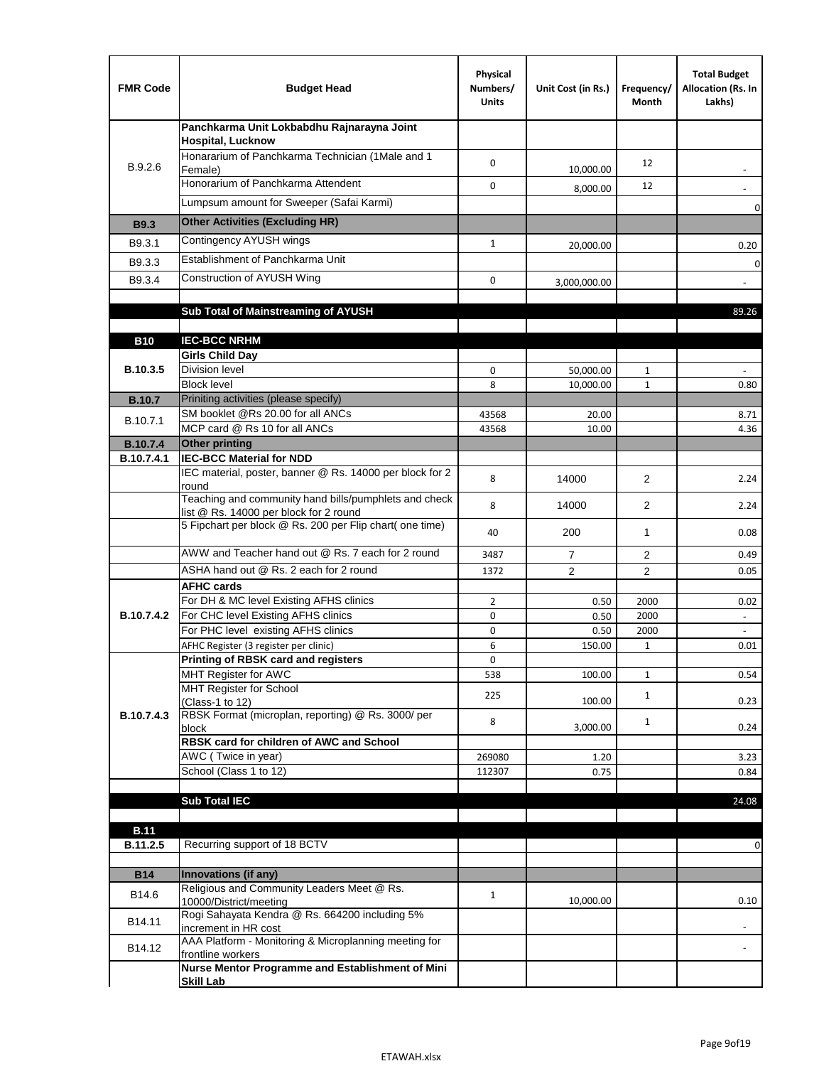| <b>FMR Code</b>               | <b>Budget Head</b>                                                                              | Physical<br>Numbers/<br><b>Units</b> | Unit Cost (in Rs.) | Frequency/<br>Month | <b>Total Budget</b><br>Allocation (Rs. In<br>Lakhs) |
|-------------------------------|-------------------------------------------------------------------------------------------------|--------------------------------------|--------------------|---------------------|-----------------------------------------------------|
|                               | Panchkarma Unit Lokbabdhu Rajnarayna Joint<br>Hospital, Lucknow                                 |                                      |                    |                     |                                                     |
| B.9.2.6                       | Honararium of Panchkarma Technician (1Male and 1<br>Female)                                     | $\mathbf 0$                          | 10,000.00          | 12                  |                                                     |
|                               | Honorarium of Panchkarma Attendent                                                              | 0                                    | 8,000.00           | 12                  |                                                     |
|                               | Lumpsum amount for Sweeper (Safai Karmi)                                                        |                                      |                    |                     | 0                                                   |
| <b>B9.3</b>                   | <b>Other Activities (Excluding HR)</b>                                                          |                                      |                    |                     |                                                     |
| B9.3.1                        | Contingency AYUSH wings                                                                         | $\mathbf{1}$                         | 20,000.00          |                     | 0.20                                                |
| B9.3.3                        | Establishment of Panchkarma Unit                                                                |                                      |                    |                     | 0                                                   |
| B9.3.4                        | Construction of AYUSH Wing                                                                      | 0                                    | 3,000,000.00       |                     |                                                     |
|                               |                                                                                                 |                                      |                    |                     |                                                     |
|                               | Sub Total of Mainstreaming of AYUSH                                                             |                                      |                    |                     | 89.26                                               |
|                               |                                                                                                 |                                      |                    |                     |                                                     |
| <b>B10</b>                    | <b>IEC-BCC NRHM</b><br><b>Girls Child Day</b>                                                   |                                      |                    |                     |                                                     |
| B.10.3.5                      | Division level                                                                                  | 0                                    | 50,000.00          | 1                   |                                                     |
|                               | <b>Block level</b>                                                                              | 8                                    | 10,000.00          | $\mathbf{1}$        | 0.80                                                |
| <b>B.10.7</b>                 | Priniting activities (please specify)                                                           |                                      |                    |                     |                                                     |
| B.10.7.1                      | SM booklet @Rs 20.00 for all ANCs                                                               | 43568                                | 20.00              |                     | 8.71                                                |
|                               | MCP card @ Rs 10 for all ANCs<br><b>Other printing</b>                                          | 43568                                | 10.00              |                     | 4.36                                                |
| <b>B.10.7.4</b><br>B.10.7.4.1 | <b>IEC-BCC Material for NDD</b>                                                                 |                                      |                    |                     |                                                     |
|                               | IEC material, poster, banner @ Rs. 14000 per block for 2<br>round                               | 8                                    | 14000              | 2                   | 2.24                                                |
|                               | Teaching and community hand bills/pumphlets and check<br>list @ Rs. 14000 per block for 2 round | 8                                    | 14000              | $\overline{2}$      | 2.24                                                |
|                               | 5 Fipchart per block @ Rs. 200 per Flip chart( one time)                                        | 40                                   | 200                | 1                   | 0.08                                                |
|                               | AWW and Teacher hand out @ Rs. 7 each for 2 round                                               | 3487                                 | $\overline{7}$     | 2                   | 0.49                                                |
|                               | ASHA hand out @ Rs. 2 each for 2 round                                                          | 1372                                 | $\overline{2}$     | $\overline{2}$      | 0.05                                                |
|                               | <b>AFHC cards</b>                                                                               |                                      |                    |                     |                                                     |
| B.10.7.4.2                    | For DH & MC level Existing AFHS clinics<br>For CHC level Existing AFHS clinics                  | $\overline{2}$<br>0                  | 0.50<br>0.50       | 2000<br>2000        | 0.02<br>$\overline{\phantom{a}}$                    |
|                               | For PHC level existing AFHS clinics                                                             | $\mathbf 0$                          | 0.50               | 2000                | $\Box$                                              |
|                               | AFHC Register (3 register per clinic)                                                           | 6                                    | 150.00             | $\mathbf{1}$        | 0.01                                                |
|                               | Printing of RBSK card and registers                                                             | 0                                    |                    |                     |                                                     |
|                               | MHT Register for AWC                                                                            | 538                                  | 100.00             | $\mathbf{1}$        | 0.54                                                |
|                               | MHT Register for School<br>(Class-1 to 12)                                                      | 225                                  | 100.00             | $\mathbf{1}$        | 0.23                                                |
| B.10.7.4.3                    | RBSK Format (microplan, reporting) @ Rs. 3000/ per<br>block                                     | 8                                    | 3,000.00           | $\mathbf{1}$        | 0.24                                                |
|                               | RBSK card for children of AWC and School                                                        |                                      |                    |                     |                                                     |
|                               | AWC (Twice in year)                                                                             | 269080                               | 1.20               |                     | 3.23                                                |
|                               | School (Class 1 to 12)                                                                          | 112307                               | 0.75               |                     | 0.84                                                |
|                               | <b>Sub Total IEC</b>                                                                            |                                      |                    |                     | 24.08                                               |
|                               |                                                                                                 |                                      |                    |                     |                                                     |
| <b>B.11</b>                   |                                                                                                 |                                      |                    |                     |                                                     |
| B.11.2.5                      | Recurring support of 18 BCTV                                                                    |                                      |                    |                     | 0                                                   |
|                               |                                                                                                 |                                      |                    |                     |                                                     |
| <b>B14</b>                    | Innovations (if any)<br>Religious and Community Leaders Meet @ Rs.                              |                                      |                    |                     |                                                     |
| B14.6                         | 10000/District/meeting<br>Rogi Sahayata Kendra @ Rs. 664200 including 5%                        | $\mathbf{1}$                         | 10,000.00          |                     | 0.10                                                |
| B14.11                        | increment in HR cost                                                                            |                                      |                    |                     |                                                     |
| B14.12                        | AAA Platform - Monitoring & Microplanning meeting for<br>frontline workers                      |                                      |                    |                     |                                                     |
|                               | Nurse Mentor Programme and Establishment of Mini                                                |                                      |                    |                     |                                                     |
|                               | <b>Skill Lab</b>                                                                                |                                      |                    |                     |                                                     |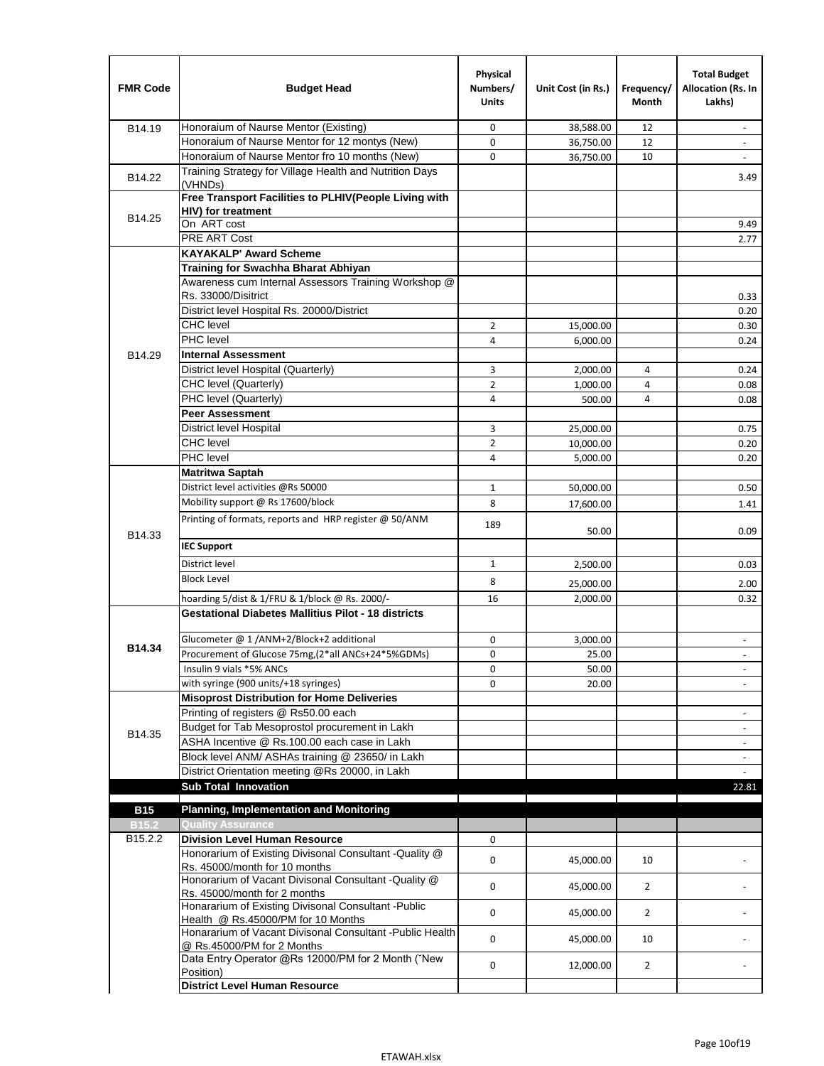| <b>FMR Code</b>     | <b>Budget Head</b>                                                                              | Physical<br>Numbers/<br><b>Units</b> | Unit Cost (in Rs.) | Frequency/<br>Month | <b>Total Budget</b><br>Allocation (Rs. In<br>Lakhs) |
|---------------------|-------------------------------------------------------------------------------------------------|--------------------------------------|--------------------|---------------------|-----------------------------------------------------|
| B14.19              | Honoraium of Naurse Mentor (Existing)                                                           | 0                                    | 38,588.00          | 12                  |                                                     |
|                     | Honoraium of Naurse Mentor for 12 montys (New)                                                  | 0                                    | 36,750.00          | 12                  | $\overline{a}$                                      |
|                     | Honoraium of Naurse Mentor fro 10 months (New)                                                  | 0                                    | 36,750.00          | 10                  | $\blacksquare$                                      |
| B14.22              | Training Strategy for Village Health and Nutrition Days<br>(VHNDs)                              |                                      |                    |                     | 3.49                                                |
| B14.25              | Free Transport Facilities to PLHIV(People Living with                                           |                                      |                    |                     |                                                     |
|                     | HIV) for treatment                                                                              |                                      |                    |                     |                                                     |
|                     | On ART cost                                                                                     |                                      |                    |                     | 9.49                                                |
|                     | PRE ART Cost                                                                                    |                                      |                    |                     | 2.77                                                |
|                     | <b>KAYAKALP' Award Scheme</b>                                                                   |                                      |                    |                     |                                                     |
|                     | Training for Swachha Bharat Abhiyan                                                             |                                      |                    |                     |                                                     |
|                     | Awareness cum Internal Assessors Training Workshop @                                            |                                      |                    |                     |                                                     |
|                     | Rs. 33000/Disitrict                                                                             |                                      |                    |                     | 0.33                                                |
|                     | District level Hospital Rs. 20000/District                                                      |                                      |                    |                     | 0.20                                                |
|                     | <b>CHC</b> level                                                                                | 2                                    | 15,000.00          |                     | 0.30                                                |
|                     | PHC level                                                                                       | 4                                    | 6,000.00           |                     | 0.24                                                |
| B14.29              | <b>Internal Assessment</b>                                                                      |                                      |                    |                     |                                                     |
|                     | District level Hospital (Quarterly)                                                             | 3                                    | 2,000.00           | 4                   | 0.24                                                |
|                     | CHC level (Quarterly)                                                                           | $\overline{2}$                       | 1,000.00           | $\overline{4}$      | 0.08                                                |
|                     | PHC level (Quarterly)                                                                           | 4                                    | 500.00             | 4                   | 0.08                                                |
|                     | <b>Peer Assessment</b>                                                                          |                                      |                    |                     |                                                     |
|                     | <b>District level Hospital</b>                                                                  | 3                                    | 25,000.00          |                     | 0.75                                                |
|                     | <b>CHC</b> level                                                                                | $\overline{2}$                       | 10,000.00          |                     | 0.20                                                |
|                     | PHC level                                                                                       | 4                                    | 5,000.00           |                     | 0.20                                                |
|                     | <b>Matritwa Saptah</b>                                                                          |                                      |                    |                     |                                                     |
|                     | District level activities @Rs 50000                                                             | 1                                    | 50,000.00          |                     | 0.50                                                |
|                     | Mobility support @ Rs 17600/block                                                               | 8                                    | 17,600.00          |                     | 1.41                                                |
| B14.33              | Printing of formats, reports and HRP register @ 50/ANM                                          | 189                                  | 50.00              |                     | 0.09                                                |
|                     | <b>IEC Support</b>                                                                              |                                      |                    |                     |                                                     |
|                     | District level                                                                                  | 1                                    | 2,500.00           |                     | 0.03                                                |
|                     | <b>Block Level</b>                                                                              | 8                                    | 25,000.00          |                     | 2.00                                                |
|                     | hoarding 5/dist & 1/FRU & 1/block @ Rs. 2000/-                                                  | 16                                   | 2,000.00           |                     | 0.32                                                |
|                     | <b>Gestational Diabetes Mallitius Pilot - 18 districts</b>                                      |                                      |                    |                     |                                                     |
|                     |                                                                                                 |                                      |                    |                     |                                                     |
| B14.34              | Glucometer @ 1 /ANM+2/Block+2 additional<br>Procurement of Glucose 75mg, (2*all ANCs+24*5%GDMs) | 0                                    | 3,000.00           |                     |                                                     |
|                     |                                                                                                 | 0                                    | 25.00              |                     |                                                     |
|                     | Insulin 9 vials *5% ANCs                                                                        | 0                                    | 50.00              |                     | $\blacksquare$                                      |
|                     | with syringe (900 units/+18 syringes)<br><b>Misoprost Distribution for Home Deliveries</b>      | 0                                    | 20.00              |                     |                                                     |
|                     | Printing of registers @ Rs50.00 each                                                            |                                      |                    |                     |                                                     |
|                     | Budget for Tab Mesoprostol procurement in Lakh                                                  |                                      |                    |                     | $\overline{\phantom{a}}$<br>$\blacksquare$          |
| B14.35              | ASHA Incentive @ Rs.100.00 each case in Lakh                                                    |                                      |                    |                     |                                                     |
|                     | Block level ANM/ ASHAs training @ 23650/ in Lakh                                                |                                      |                    |                     | $\overline{\phantom{a}}$                            |
|                     | District Orientation meeting @Rs 20000, in Lakh                                                 |                                      |                    |                     | $\omega$                                            |
|                     | <b>Sub Total Innovation</b>                                                                     |                                      |                    |                     | 22.81                                               |
| <b>B15</b>          | <b>Planning, Implementation and Monitoring</b>                                                  |                                      |                    |                     |                                                     |
| <b>B15.2</b>        | <b>Quality Assurance</b>                                                                        |                                      |                    |                     |                                                     |
| B <sub>15.2.2</sub> | <b>Division Level Human Resource</b>                                                            | 0                                    |                    |                     |                                                     |
|                     | Honorarium of Existing Divisonal Consultant - Quality @                                         |                                      |                    |                     |                                                     |
|                     | Rs. 45000/month for 10 months                                                                   | 0                                    | 45,000.00          | 10                  |                                                     |
|                     | Honorarium of Vacant Divisonal Consultant - Quality @                                           | 0                                    | 45,000.00          | $\overline{2}$      |                                                     |
|                     | Rs. 45000/month for 2 months                                                                    |                                      |                    |                     |                                                     |
|                     | Honararium of Existing Divisonal Consultant - Public                                            | 0                                    | 45,000.00          | $\overline{2}$      |                                                     |
|                     | Health @ Rs.45000/PM for 10 Months                                                              |                                      |                    |                     |                                                     |
|                     | Honararium of Vacant Divisonal Consultant - Public Health<br>@ Rs.45000/PM for 2 Months         | 0                                    | 45,000.00          | 10                  |                                                     |
|                     | Data Entry Operator @Rs 12000/PM for 2 Month ("New<br>Position)                                 | 0                                    | 12,000.00          | $\overline{2}$      |                                                     |
|                     | <b>District Level Human Resource</b>                                                            |                                      |                    |                     |                                                     |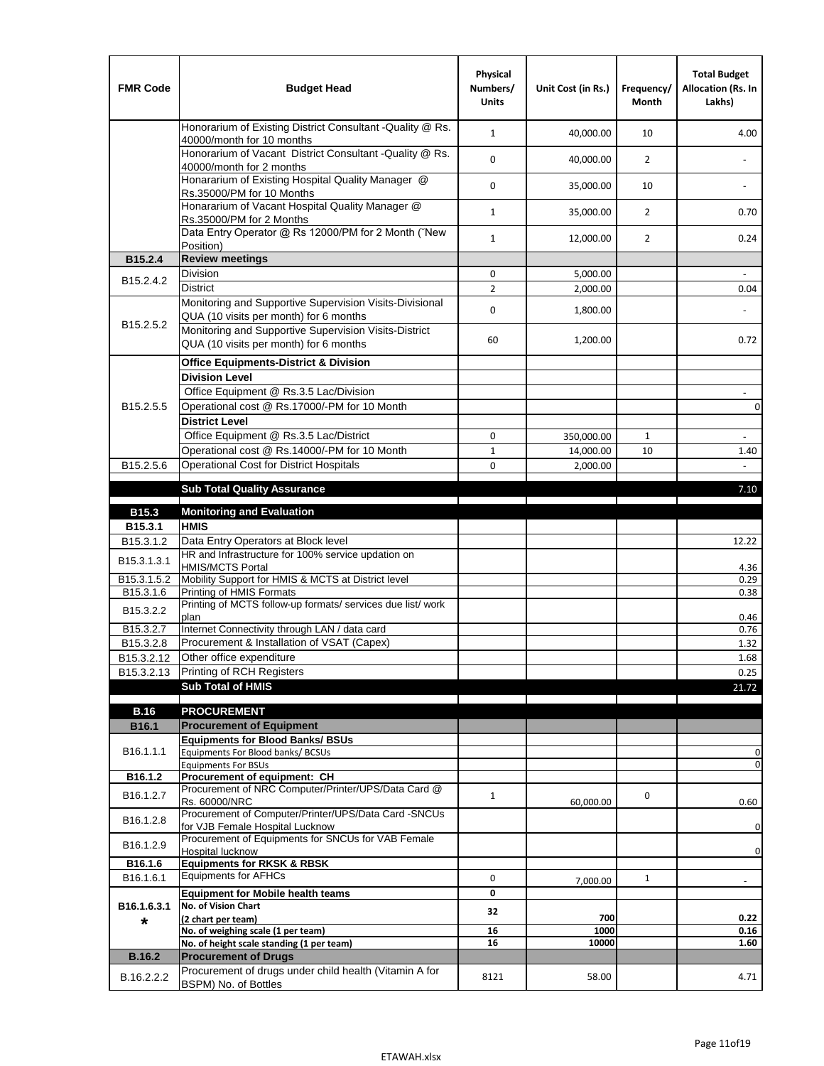| <b>FMR Code</b>         | <b>Budget Head</b>                                                                                | Physical<br>Numbers/<br><b>Units</b> | Unit Cost (in Rs.) | Frequency/<br><b>Month</b> | <b>Total Budget</b><br>Allocation (Rs. In<br>Lakhs) |
|-------------------------|---------------------------------------------------------------------------------------------------|--------------------------------------|--------------------|----------------------------|-----------------------------------------------------|
|                         | Honorarium of Existing District Consultant -Quality @ Rs.<br>40000/month for 10 months            | $\mathbf{1}$                         | 40,000.00          | 10                         | 4.00                                                |
|                         | Honorarium of Vacant District Consultant -Quality @ Rs.<br>40000/month for 2 months               | $\mathbf 0$                          | 40,000.00          | $\overline{2}$             | ä,                                                  |
|                         | Honararium of Existing Hospital Quality Manager @<br>Rs.35000/PM for 10 Months                    | 0                                    | 35,000.00          | 10                         |                                                     |
|                         | Honararium of Vacant Hospital Quality Manager @<br>Rs.35000/PM for 2 Months                       | $\mathbf{1}$                         | 35,000.00          | $\overline{2}$             | 0.70                                                |
|                         | Data Entry Operator @ Rs 12000/PM for 2 Month ("New<br>Position)                                  | $\mathbf{1}$                         | 12,000.00          | $\overline{2}$             | 0.24                                                |
| B15.2.4                 | <b>Review meetings</b>                                                                            |                                      |                    |                            |                                                     |
| B <sub>15.2</sub> .4.2  | Division                                                                                          | 0                                    | 5,000.00           |                            |                                                     |
|                         | <b>District</b>                                                                                   | $\overline{2}$                       | 2,000.00           |                            | 0.04                                                |
|                         | Monitoring and Supportive Supervision Visits-Divisional<br>QUA (10 visits per month) for 6 months | $\mathbf 0$                          | 1,800.00           |                            |                                                     |
| B15.2.5.2               | Monitoring and Supportive Supervision Visits-District<br>QUA (10 visits per month) for 6 months   | 60                                   | 1,200.00           |                            | 0.72                                                |
|                         | <b>Office Equipments-District &amp; Division</b>                                                  |                                      |                    |                            |                                                     |
|                         | <b>Division Level</b>                                                                             |                                      |                    |                            |                                                     |
|                         | Office Equipment @ Rs.3.5 Lac/Division                                                            |                                      |                    |                            | $\sim$                                              |
| B15.2.5.5               | Operational cost @ Rs.17000/-PM for 10 Month                                                      |                                      |                    |                            | $\pmb{0}$                                           |
|                         | <b>District Level</b>                                                                             |                                      |                    |                            |                                                     |
|                         | Office Equipment @ Rs.3.5 Lac/District                                                            | 0                                    | 350,000.00         | $\mathbf{1}$               | $\blacksquare$                                      |
|                         | Operational cost @ Rs.14000/-PM for 10 Month                                                      | $1\,$                                | 14,000.00          | 10                         | 1.40                                                |
| B15.2.5.6               | <b>Operational Cost for District Hospitals</b>                                                    | 0                                    | 2,000.00           |                            | $\mathbf{r}$                                        |
|                         | <b>Sub Total Quality Assurance</b>                                                                |                                      |                    |                            | 7.10                                                |
| B15.3                   | <b>Monitoring and Evaluation</b>                                                                  |                                      |                    |                            |                                                     |
| B15.3.1                 | <b>HMIS</b>                                                                                       |                                      |                    |                            |                                                     |
| B15.3.1.2               | Data Entry Operators at Block level                                                               |                                      |                    |                            | 12.22                                               |
| B15.3.1.3.1             | HR and Infrastructure for 100% service updation on<br><b>HMIS/MCTS Portal</b>                     |                                      |                    |                            | 4.36                                                |
| B <sub>15.3.1.5.2</sub> | Mobility Support for HMIS & MCTS at District level                                                |                                      |                    |                            | 0.29                                                |
| B15.3.1.6               | Printing of HMIS Formats<br>Printing of MCTS follow-up formats/ services due list/ work           |                                      |                    |                            | 0.38                                                |
| B15.3.2.2               | plan                                                                                              |                                      |                    |                            | 0.46                                                |
| B15.3.2.7               | Internet Connectivity through LAN / data card                                                     |                                      |                    |                            | 0.76                                                |
| B15.3.2.8               | Procurement & Installation of VSAT (Capex)                                                        |                                      |                    |                            | 1.32                                                |
| B15.3.2.12              | Other office expenditure                                                                          |                                      |                    |                            | 1.68                                                |
| B15.3.2.13              | Printing of RCH Registers                                                                         |                                      |                    |                            | 0.25                                                |
|                         | <b>Sub Total of HMIS</b>                                                                          |                                      |                    |                            | 21.72                                               |
| <b>B.16</b>             | <b>PROCUREMENT</b>                                                                                |                                      |                    |                            |                                                     |
| B16.1                   | <b>Procurement of Equipment</b>                                                                   |                                      |                    |                            |                                                     |
|                         | <b>Equipments for Blood Banks/ BSUs</b>                                                           |                                      |                    |                            |                                                     |
| B16.1.1.1               | Equipments For Blood banks/ BCSUs                                                                 |                                      |                    |                            | 0                                                   |
| B16.1.2                 | <b>Equipments For BSUs</b><br>Procurement of equipment: CH                                        |                                      |                    |                            | 0                                                   |
|                         | Procurement of NRC Computer/Printer/UPS/Data Card @                                               |                                      |                    |                            |                                                     |
| B16.1.2.7               | Rs. 60000/NRC                                                                                     | $\mathbf{1}$                         | 60,000.00          | 0                          | 0.60                                                |
| B16.1.2.8               | Procurement of Computer/Printer/UPS/Data Card -SNCUs                                              |                                      |                    |                            |                                                     |
|                         | for VJB Female Hospital Lucknow<br>Procurement of Equipments for SNCUs for VAB Female             |                                      |                    |                            | 0                                                   |
| B16.1.2.9               | Hospital lucknow                                                                                  |                                      |                    |                            | 0                                                   |
| B16.1.6                 | <b>Equipments for RKSK &amp; RBSK</b>                                                             |                                      |                    |                            |                                                     |
| B16.1.6.1               | <b>Equipments for AFHCs</b>                                                                       | 0                                    | 7,000.00           | $\mathbf{1}$               | ÷,                                                  |
|                         | <b>Equipment for Mobile health teams</b>                                                          | 0                                    |                    |                            |                                                     |
| B16.1.6.3.1             | No. of Vision Chart                                                                               | 32                                   | 700                |                            | 0.22                                                |
| *                       | (2 chart per team)<br>No. of weighing scale (1 per team)                                          | 16                                   | 1000               |                            | 0.16                                                |
|                         | No. of height scale standing (1 per team)                                                         | 16                                   | 10000              |                            | 1.60                                                |
| <b>B.16.2</b>           | <b>Procurement of Drugs</b>                                                                       |                                      |                    |                            |                                                     |
| B.16.2.2.2              | Procurement of drugs under child health (Vitamin A for<br>BSPM) No. of Bottles                    | 8121                                 | 58.00              |                            | 4.71                                                |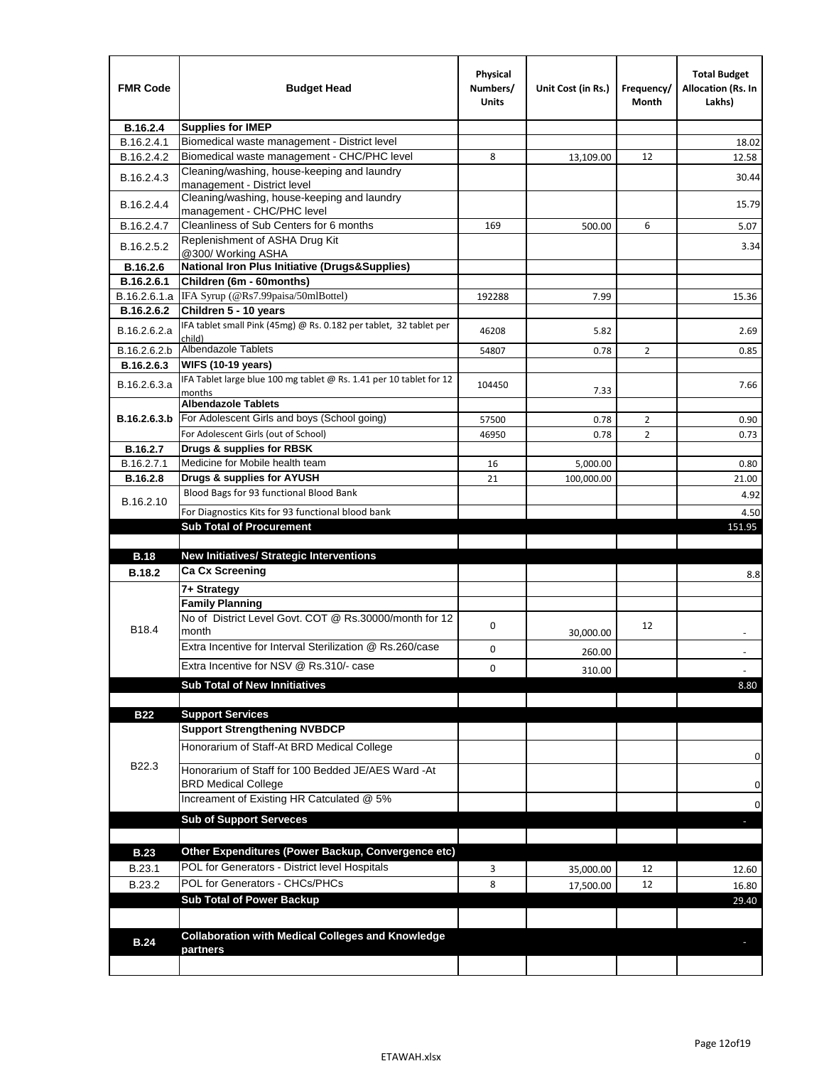| <b>FMR Code</b> | <b>Budget Head</b>                                                                        | Physical<br>Numbers/<br>Units | Unit Cost (in Rs.) | Frequency/<br>Month | <b>Total Budget</b><br><b>Allocation (Rs. In</b><br>Lakhs) |
|-----------------|-------------------------------------------------------------------------------------------|-------------------------------|--------------------|---------------------|------------------------------------------------------------|
| B.16.2.4        | <b>Supplies for IMEP</b>                                                                  |                               |                    |                     |                                                            |
| B.16.2.4.1      | Biomedical waste management - District level                                              |                               |                    |                     | 18.02                                                      |
| B.16.2.4.2      | Biomedical waste management - CHC/PHC level                                               | 8                             | 13,109.00          | 12                  | 12.58                                                      |
| B.16.2.4.3      | Cleaning/washing, house-keeping and laundry<br>management - District level                |                               |                    |                     | 30.44                                                      |
| B.16.2.4.4      | Cleaning/washing, house-keeping and laundry<br>management - CHC/PHC level                 |                               |                    |                     | 15.79                                                      |
| B.16.2.4.7      | Cleanliness of Sub Centers for 6 months                                                   | 169                           | 500.00             | 6                   | 5.07                                                       |
| B.16.2.5.2      | Replenishment of ASHA Drug Kit<br>@300/ Working ASHA                                      |                               |                    |                     | 3.34                                                       |
| B.16.2.6        | <b>National Iron Plus Initiative (Drugs&amp;Supplies)</b>                                 |                               |                    |                     |                                                            |
| B.16.2.6.1      | Children (6m - 60months)                                                                  |                               |                    |                     |                                                            |
| B.16.2.6.1.a    | IFA Syrup (@Rs7.99paisa/50mlBottel)                                                       | 192288                        | 7.99               |                     | 15.36                                                      |
| B.16.2.6.2      | Children 5 - 10 years                                                                     |                               |                    |                     |                                                            |
| B.16.2.6.2.a    | IFA tablet small Pink (45mg) @ Rs. 0.182 per tablet, 32 tablet per<br>child)              | 46208                         | 5.82               |                     | 2.69                                                       |
| B.16.2.6.2.b    | Albendazole Tablets                                                                       | 54807                         | 0.78               | 2                   | 0.85                                                       |
| B.16.2.6.3      | <b>WIFS (10-19 years)</b>                                                                 |                               |                    |                     |                                                            |
| B.16.2.6.3.a    | IFA Tablet large blue 100 mg tablet @ Rs. 1.41 per 10 tablet for 12<br>months             | 104450                        | 7.33               |                     | 7.66                                                       |
|                 | <b>Albendazole Tablets</b>                                                                |                               |                    |                     |                                                            |
| B.16.2.6.3.b    | For Adolescent Girls and boys (School going)                                              | 57500                         | 0.78               | $\overline{2}$      | 0.90                                                       |
|                 | For Adolescent Girls (out of School)                                                      | 46950                         | 0.78               | $\overline{2}$      | 0.73                                                       |
| B.16.2.7        | Drugs & supplies for RBSK                                                                 |                               |                    |                     |                                                            |
| B.16.2.7.1      | Medicine for Mobile health team                                                           | 16                            | 5,000.00           |                     | 0.80                                                       |
| <b>B.16.2.8</b> | Drugs & supplies for AYUSH                                                                | 21                            | 100,000.00         |                     | 21.00                                                      |
| B.16.2.10       | Blood Bags for 93 functional Blood Bank                                                   |                               |                    |                     | 4.92                                                       |
|                 | For Diagnostics Kits for 93 functional blood bank<br><b>Sub Total of Procurement</b>      |                               |                    |                     | 4.50<br>151.95                                             |
|                 |                                                                                           |                               |                    |                     |                                                            |
| <b>B.18</b>     | <b>New Initiatives/ Strategic Interventions</b>                                           |                               |                    |                     |                                                            |
| <b>B.18.2</b>   | <b>Ca Cx Screening</b>                                                                    |                               |                    |                     |                                                            |
|                 |                                                                                           |                               |                    |                     | 8.8                                                        |
|                 | 7+ Strategy                                                                               |                               |                    |                     |                                                            |
| B18.4           | <b>Family Planning</b><br>No of District Level Govt. COT @ Rs.30000/month for 12<br>month | 0                             |                    | 12                  |                                                            |
|                 | Extra Incentive for Interval Sterilization @ Rs.260/case                                  |                               | 30,000.00          |                     |                                                            |
|                 | Extra Incentive for NSV @ Rs.310/- case                                                   | 0                             | 260.00             |                     |                                                            |
|                 |                                                                                           | 0                             | 310.00             |                     |                                                            |
|                 | <b>Sub Total of New Innitiatives</b>                                                      |                               |                    |                     | 8.80                                                       |
|                 |                                                                                           |                               |                    |                     |                                                            |
| <b>B22</b>      | <b>Support Services</b>                                                                   |                               |                    |                     |                                                            |
|                 | <b>Support Strengthening NVBDCP</b><br>Honorarium of Staff-At BRD Medical College         |                               |                    |                     |                                                            |
| B22.3           | Honorarium of Staff for 100 Bedded JE/AES Ward -At                                        |                               |                    |                     | 0                                                          |
|                 | <b>BRD Medical College</b><br>Increament of Existing HR Catculated @ 5%                   |                               |                    |                     | 0                                                          |
|                 | <b>Sub of Support Serveces</b>                                                            |                               |                    |                     | 0                                                          |
|                 |                                                                                           |                               |                    |                     |                                                            |
| <b>B.23</b>     | Other Expenditures (Power Backup, Convergence etc)                                        |                               |                    |                     |                                                            |
| B.23.1          | POL for Generators - District level Hospitals                                             | 3                             |                    | 12                  |                                                            |
|                 | POL for Generators - CHCs/PHCs                                                            |                               | 35,000.00          |                     | 12.60                                                      |
| B.23.2          | <b>Sub Total of Power Backup</b>                                                          | 8                             | 17,500.00          | 12                  | 16.80                                                      |
|                 |                                                                                           |                               |                    |                     | 29.40                                                      |
|                 | <b>Collaboration with Medical Colleges and Knowledge</b>                                  |                               |                    |                     |                                                            |
| <b>B.24</b>     | partners                                                                                  |                               |                    |                     |                                                            |
|                 |                                                                                           |                               |                    |                     |                                                            |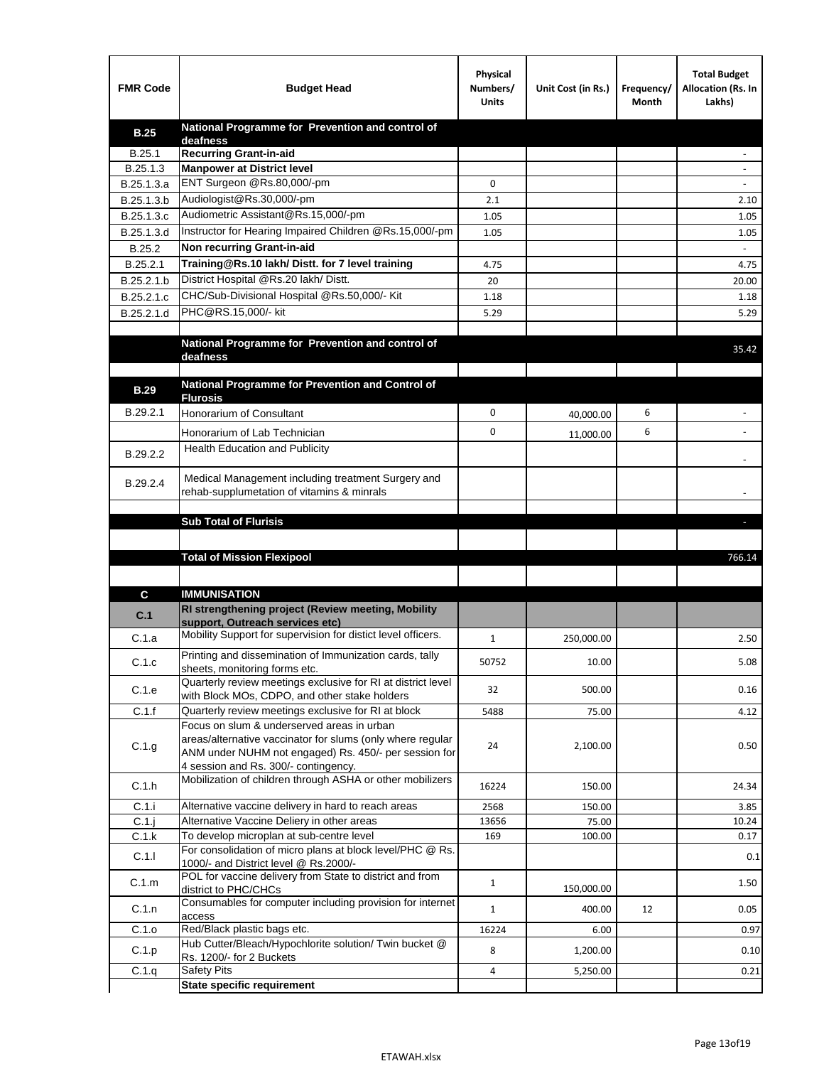| <b>FMR Code</b> | <b>Budget Head</b>                                                                                | Physical<br>Numbers/<br><b>Units</b> | Unit Cost (in Rs.) | Frequency/<br>Month | <b>Total Budget</b><br>Allocation (Rs. In<br>Lakhs) |
|-----------------|---------------------------------------------------------------------------------------------------|--------------------------------------|--------------------|---------------------|-----------------------------------------------------|
| <b>B.25</b>     | National Programme for Prevention and control of                                                  |                                      |                    |                     |                                                     |
| B.25.1          | deafness<br><b>Recurring Grant-in-aid</b>                                                         |                                      |                    |                     |                                                     |
| B.25.1.3        | <b>Manpower at District level</b>                                                                 |                                      |                    |                     |                                                     |
| B.25.1.3.a      | ENT Surgeon @Rs.80,000/-pm                                                                        | 0                                    |                    |                     |                                                     |
| B.25.1.3.b      | Audiologist@Rs.30,000/-pm                                                                         | 2.1                                  |                    |                     | 2.10                                                |
| B.25.1.3.c      | Audiometric Assistant@Rs.15,000/-pm                                                               | 1.05                                 |                    |                     | 1.05                                                |
| B.25.1.3.d      | Instructor for Hearing Impaired Children @Rs.15,000/-pm                                           | 1.05                                 |                    |                     | 1.05                                                |
| B.25.2          | Non recurring Grant-in-aid                                                                        |                                      |                    |                     |                                                     |
| B.25.2.1        | Training@Rs.10 lakh/ Distt. for 7 level training                                                  | 4.75                                 |                    |                     | 4.75                                                |
| B.25.2.1.b      | District Hospital @Rs.20 lakh/Distt.                                                              | 20                                   |                    |                     | 20.00                                               |
| B.25.2.1.c      | CHC/Sub-Divisional Hospital @Rs.50,000/- Kit                                                      | 1.18                                 |                    |                     | 1.18                                                |
| B.25.2.1.d      | PHC@RS.15,000/- kit                                                                               | 5.29                                 |                    |                     | 5.29                                                |
|                 |                                                                                                   |                                      |                    |                     |                                                     |
|                 | National Programme for Prevention and control of                                                  |                                      |                    |                     | 35.42                                               |
|                 | deafness                                                                                          |                                      |                    |                     |                                                     |
|                 | National Programme for Prevention and Control of                                                  |                                      |                    |                     |                                                     |
| <b>B.29</b>     | <b>Flurosis</b>                                                                                   |                                      |                    |                     |                                                     |
| B.29.2.1        | Honorarium of Consultant                                                                          | 0                                    | 40,000.00          | 6                   |                                                     |
|                 | Honorarium of Lab Technician                                                                      | 0                                    | 11,000.00          | 6                   |                                                     |
| B.29.2.2        | <b>Health Education and Publicity</b>                                                             |                                      |                    |                     |                                                     |
|                 |                                                                                                   |                                      |                    |                     |                                                     |
| B.29.2.4        | Medical Management including treatment Surgery and                                                |                                      |                    |                     |                                                     |
|                 | rehab-supplumetation of vitamins & minrals                                                        |                                      |                    |                     |                                                     |
|                 | <b>Sub Total of Flurisis</b>                                                                      |                                      |                    |                     | ь                                                   |
|                 |                                                                                                   |                                      |                    |                     |                                                     |
|                 | <b>Total of Mission Flexipool</b>                                                                 |                                      |                    |                     | 766.14                                              |
|                 |                                                                                                   |                                      |                    |                     |                                                     |
|                 |                                                                                                   |                                      |                    |                     |                                                     |
| С               | <b>IMMUNISATION</b><br>RI strengthening project (Review meeting, Mobility                         |                                      |                    |                     |                                                     |
| C.1             | support, Outreach services etc)                                                                   |                                      |                    |                     |                                                     |
| C.1.a           | Mobility Support for supervision for distict level officers.                                      | 1                                    | 250,000.00         |                     | 2.50                                                |
|                 | Printing and dissemination of Immunization cards, tally                                           |                                      |                    |                     |                                                     |
| C.1.c           | sheets, monitoring forms etc.                                                                     | 50752                                | 10.00              |                     | 5.08                                                |
| C.1.e           | Quarterly review meetings exclusive for RI at district level                                      | 32                                   | 500.00             |                     | 0.16                                                |
|                 | with Block MOs, CDPO, and other stake holders                                                     |                                      |                    |                     |                                                     |
| C.1.f           | Quarterly review meetings exclusive for RI at block<br>Focus on slum & underserved areas in urban | 5488                                 | 75.00              |                     | 4.12                                                |
|                 | areas/alternative vaccinator for slums (only where regular                                        |                                      |                    |                     |                                                     |
| C.1.g           | ANM under NUHM not engaged) Rs. 450/- per session for                                             | 24                                   | 2,100.00           |                     | 0.50                                                |
|                 | 4 session and Rs. 300/- contingency.                                                              |                                      |                    |                     |                                                     |
| C.1.h           | Mobilization of children through ASHA or other mobilizers                                         | 16224                                | 150.00             |                     | 24.34                                               |
| C.1.i           | Alternative vaccine delivery in hard to reach areas                                               | 2568                                 | 150.00             |                     | 3.85                                                |
| $C.1$ .j        | Alternative Vaccine Deliery in other areas                                                        | 13656                                | 75.00              |                     | 10.24                                               |
| C.1.k           | To develop microplan at sub-centre level                                                          | 169                                  | 100.00             |                     | 0.17                                                |
| C.1.1           | For consolidation of micro plans at block level/PHC @ Rs.                                         |                                      |                    |                     | 0.1                                                 |
|                 | 1000/- and District level @ Rs.2000/-<br>POL for vaccine delivery from State to district and from |                                      |                    |                     |                                                     |
| C.1.m           | district to PHC/CHCs                                                                              | $\mathbf{1}$                         | 150,000.00         |                     | 1.50                                                |
| C.1.n           | Consumables for computer including provision for internet                                         | $\mathbf{1}$                         | 400.00             | 12                  | 0.05                                                |
|                 | access                                                                                            |                                      |                    |                     |                                                     |
| C.1.o           | Red/Black plastic bags etc.<br>Hub Cutter/Bleach/Hypochlorite solution/ Twin bucket @             | 16224                                | 6.00               |                     | 0.97                                                |
| C.1.p           | Rs. 1200/- for 2 Buckets                                                                          | 8                                    | 1,200.00           |                     | 0.10                                                |
| C.1.q           | <b>Safety Pits</b>                                                                                | 4                                    | 5,250.00           |                     | 0.21                                                |
|                 | <b>State specific requirement</b>                                                                 |                                      |                    |                     |                                                     |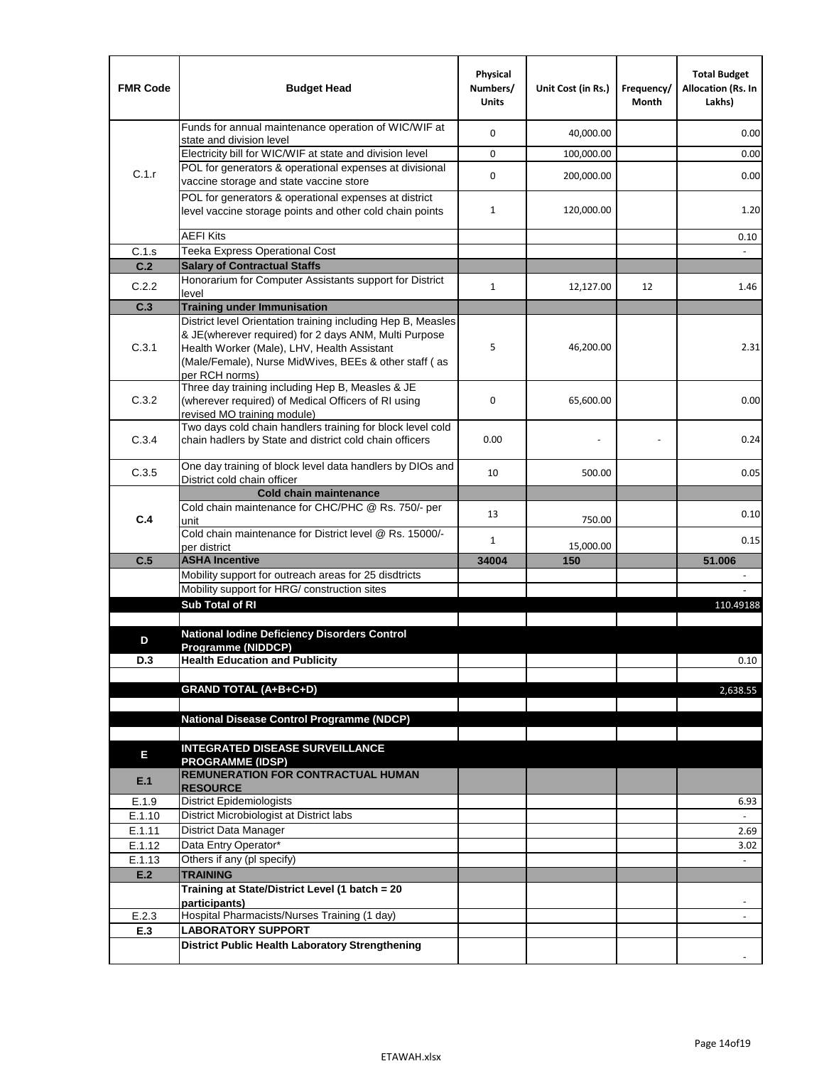| <b>FMR Code</b>  | <b>Budget Head</b>                                                                                                                                                              | Physical<br>Numbers/<br><b>Units</b> | Unit Cost (in Rs.) | Frequency/<br>Month | <b>Total Budget</b><br><b>Allocation (Rs. In</b><br>Lakhs) |
|------------------|---------------------------------------------------------------------------------------------------------------------------------------------------------------------------------|--------------------------------------|--------------------|---------------------|------------------------------------------------------------|
|                  | Funds for annual maintenance operation of WIC/WIF at<br>state and division level                                                                                                | $\mathbf 0$                          | 40,000.00          |                     | 0.00                                                       |
|                  | Electricity bill for WIC/WIF at state and division level                                                                                                                        | $\mathbf 0$                          | 100,000.00         |                     | 0.00                                                       |
| C.1.r            | POL for generators & operational expenses at divisional                                                                                                                         | $\mathbf 0$                          |                    |                     |                                                            |
|                  | vaccine storage and state vaccine store                                                                                                                                         |                                      | 200,000.00         |                     | 0.00                                                       |
|                  | POL for generators & operational expenses at district<br>level vaccine storage points and other cold chain points                                                               | $\mathbf{1}$                         | 120,000.00         |                     | 1.20                                                       |
|                  | <b>AEFI Kits</b>                                                                                                                                                                |                                      |                    |                     | 0.10                                                       |
| C.1.s            | Teeka Express Operational Cost                                                                                                                                                  |                                      |                    |                     |                                                            |
| C.2              | <b>Salary of Contractual Staffs</b>                                                                                                                                             |                                      |                    |                     |                                                            |
| C.2.2            | Honorarium for Computer Assistants support for District<br>level                                                                                                                | $\mathbf{1}$                         | 12,127.00          | 12                  | 1.46                                                       |
| C.3              | <b>Training under Immunisation</b>                                                                                                                                              |                                      |                    |                     |                                                            |
|                  | District level Orientation training including Hep B, Measles                                                                                                                    |                                      |                    |                     |                                                            |
| C.3.1            | & JE(wherever required) for 2 days ANM, Multi Purpose<br>Health Worker (Male), LHV, Health Assistant<br>(Male/Female), Nurse MidWives, BEEs & other staff (as<br>per RCH norms) | 5                                    | 46,200.00          |                     | 2.31                                                       |
| C.3.2            | Three day training including Hep B, Measles & JE<br>(wherever required) of Medical Officers of RI using<br>revised MO training module)                                          | $\mathbf 0$                          | 65,600.00          |                     | 0.00                                                       |
| C.3.4            | Two days cold chain handlers training for block level cold<br>chain hadlers by State and district cold chain officers                                                           | 0.00                                 |                    |                     | 0.24                                                       |
| C.3.5            | One day training of block level data handlers by DIOs and<br>District cold chain officer                                                                                        | 10                                   | 500.00             |                     | 0.05                                                       |
|                  | <b>Cold chain maintenance</b>                                                                                                                                                   |                                      |                    |                     |                                                            |
| C.4              | Cold chain maintenance for CHC/PHC @ Rs. 750/- per<br>unit                                                                                                                      | 13                                   | 750.00             |                     | 0.10                                                       |
|                  | Cold chain maintenance for District level @ Rs. 15000/-                                                                                                                         | $\mathbf{1}$                         | 15,000.00          |                     | 0.15                                                       |
| C.5              | per district<br><b>ASHA Incentive</b>                                                                                                                                           | 34004                                | 150                |                     | 51.006                                                     |
|                  | Mobility support for outreach areas for 25 disdtricts                                                                                                                           |                                      |                    |                     |                                                            |
|                  | Mobility support for HRG/ construction sites                                                                                                                                    |                                      |                    |                     |                                                            |
|                  | Sub Total of RI                                                                                                                                                                 |                                      |                    |                     | 110.49188                                                  |
|                  |                                                                                                                                                                                 |                                      |                    |                     |                                                            |
| D                | <b>National Iodine Deficiency Disorders Control</b><br>Programme (NIDDCP)                                                                                                       |                                      |                    |                     |                                                            |
| D.3              | <b>Health Education and Publicity</b>                                                                                                                                           |                                      |                    |                     | 0.10                                                       |
|                  |                                                                                                                                                                                 |                                      |                    |                     |                                                            |
|                  | <b>GRAND TOTAL (A+B+C+D)</b>                                                                                                                                                    |                                      |                    |                     | 2,638.55                                                   |
|                  |                                                                                                                                                                                 |                                      |                    |                     |                                                            |
|                  | National Disease Control Programme (NDCP)                                                                                                                                       |                                      |                    |                     |                                                            |
|                  | <b>INTEGRATED DISEASE SURVEILLANCE</b>                                                                                                                                          |                                      |                    |                     |                                                            |
| Е                | <b>PROGRAMME (IDSP)</b>                                                                                                                                                         |                                      |                    |                     |                                                            |
| E.1              | <b>REMUNERATION FOR CONTRACTUAL HUMAN</b><br><b>RESOURCE</b>                                                                                                                    |                                      |                    |                     |                                                            |
| E.1.9            | District Epidemiologists                                                                                                                                                        |                                      |                    |                     | 6.93                                                       |
| E.1.10           | District Microbiologist at District labs                                                                                                                                        |                                      |                    |                     |                                                            |
| E.1.11           | District Data Manager                                                                                                                                                           |                                      |                    |                     | 2.69                                                       |
| E.1.12<br>E.1.13 | Data Entry Operator*<br>Others if any (pl specify)                                                                                                                              |                                      |                    |                     | 3.02<br>$\omega$                                           |
| E.2              | <b>TRAINING</b>                                                                                                                                                                 |                                      |                    |                     |                                                            |
|                  | Training at State/District Level (1 batch = 20                                                                                                                                  |                                      |                    |                     |                                                            |
|                  | participants)                                                                                                                                                                   |                                      |                    |                     |                                                            |
| E.2.3            | Hospital Pharmacists/Nurses Training (1 day)                                                                                                                                    |                                      |                    |                     |                                                            |
| E.3              | <b>LABORATORY SUPPORT</b>                                                                                                                                                       |                                      |                    |                     |                                                            |
|                  | <b>District Public Health Laboratory Strengthening</b>                                                                                                                          |                                      |                    |                     |                                                            |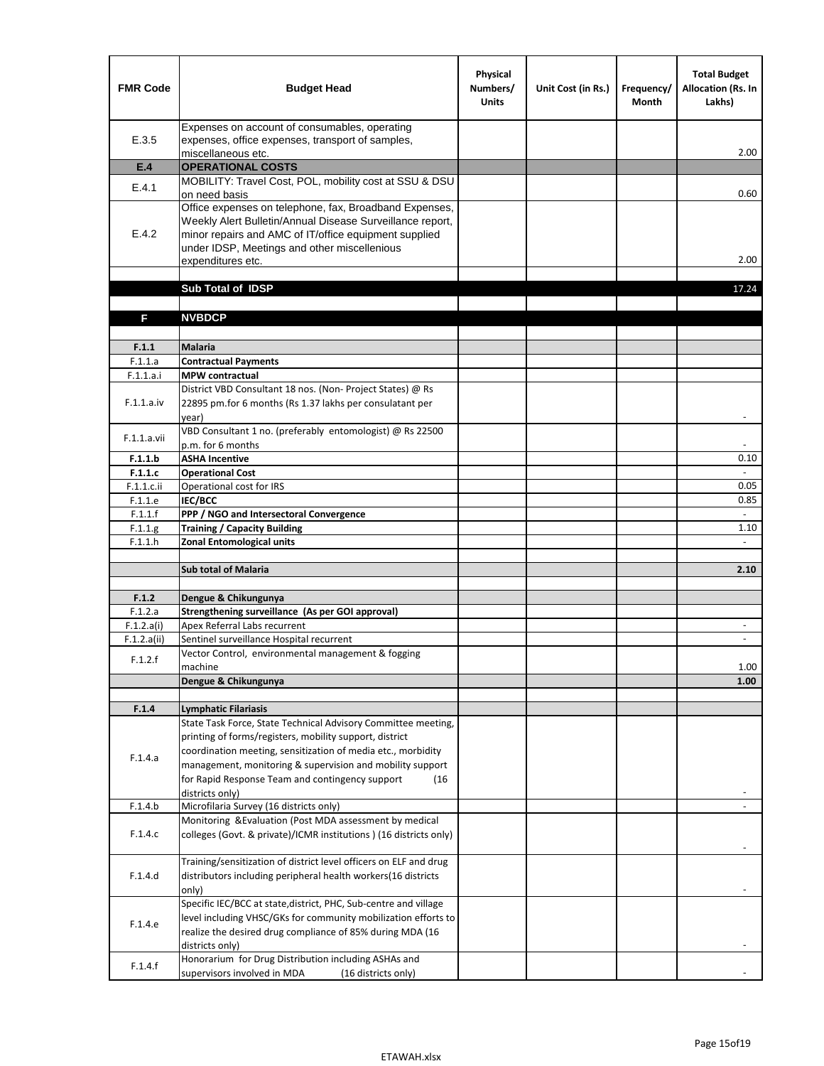| <b>FMR Code</b>       | <b>Budget Head</b>                                                                                                                                                                                                                                                                                               | Physical<br>Numbers/<br><b>Units</b> | Unit Cost (in Rs.) | Frequency/<br><b>Month</b> | <b>Total Budget</b><br><b>Allocation (Rs. In</b><br>Lakhs) |
|-----------------------|------------------------------------------------------------------------------------------------------------------------------------------------------------------------------------------------------------------------------------------------------------------------------------------------------------------|--------------------------------------|--------------------|----------------------------|------------------------------------------------------------|
| E.3.5                 | Expenses on account of consumables, operating<br>expenses, office expenses, transport of samples,                                                                                                                                                                                                                |                                      |                    |                            |                                                            |
| E.4                   | miscellaneous etc.<br><b>OPERATIONAL COSTS</b>                                                                                                                                                                                                                                                                   |                                      |                    |                            | 2.00                                                       |
| E.4.1                 | MOBILITY: Travel Cost, POL, mobility cost at SSU & DSU                                                                                                                                                                                                                                                           |                                      |                    |                            |                                                            |
|                       | on need basis<br>Office expenses on telephone, fax, Broadband Expenses,                                                                                                                                                                                                                                          |                                      |                    |                            | 0.60                                                       |
| E.4.2                 | Weekly Alert Bulletin/Annual Disease Surveillance report,<br>minor repairs and AMC of IT/office equipment supplied<br>under IDSP, Meetings and other miscellenious<br>expenditures etc.                                                                                                                          |                                      |                    |                            | 2.00                                                       |
|                       | Sub Total of IDSP                                                                                                                                                                                                                                                                                                |                                      |                    |                            | 17.24                                                      |
|                       |                                                                                                                                                                                                                                                                                                                  |                                      |                    |                            |                                                            |
| F                     | <b>NVBDCP</b>                                                                                                                                                                                                                                                                                                    |                                      |                    |                            |                                                            |
| F.1.1                 | <b>Malaria</b>                                                                                                                                                                                                                                                                                                   |                                      |                    |                            |                                                            |
| F.1.1.a               | <b>Contractual Payments</b>                                                                                                                                                                                                                                                                                      |                                      |                    |                            |                                                            |
| F.1.1.a.i             | <b>MPW</b> contractual                                                                                                                                                                                                                                                                                           |                                      |                    |                            |                                                            |
| F.1.1.a.iv            | District VBD Consultant 18 nos. (Non-Project States) @ Rs<br>22895 pm.for 6 months (Rs 1.37 lakhs per consulatant per<br>year)                                                                                                                                                                                   |                                      |                    |                            | $\overline{\phantom{a}}$                                   |
| F.1.1.a.vii           | VBD Consultant 1 no. (preferably entomologist) @ Rs 22500                                                                                                                                                                                                                                                        |                                      |                    |                            |                                                            |
|                       | p.m. for 6 months                                                                                                                                                                                                                                                                                                |                                      |                    |                            |                                                            |
| F.1.1.b<br>F.1.1.c    | <b>ASHA Incentive</b><br><b>Operational Cost</b>                                                                                                                                                                                                                                                                 |                                      |                    |                            | 0.10                                                       |
| $F.1.1.c.$ ii         | Operational cost for IRS                                                                                                                                                                                                                                                                                         |                                      |                    |                            | 0.05                                                       |
| F.1.1.e               | <b>IEC/BCC</b>                                                                                                                                                                                                                                                                                                   |                                      |                    |                            | 0.85                                                       |
| F.1.1.f               | PPP / NGO and Intersectoral Convergence                                                                                                                                                                                                                                                                          |                                      |                    |                            | $\mathbb{L}$                                               |
| F.1.1.g               | <b>Training / Capacity Building</b>                                                                                                                                                                                                                                                                              |                                      |                    |                            | 1.10                                                       |
| F.1.1.h               | <b>Zonal Entomological units</b>                                                                                                                                                                                                                                                                                 |                                      |                    |                            |                                                            |
|                       | <b>Sub total of Malaria</b>                                                                                                                                                                                                                                                                                      |                                      |                    |                            | 2.10                                                       |
|                       |                                                                                                                                                                                                                                                                                                                  |                                      |                    |                            |                                                            |
| F.1.2                 | Dengue & Chikungunya                                                                                                                                                                                                                                                                                             |                                      |                    |                            |                                                            |
| F.1.2.a<br>F.1.2.a(i) | Strengthening surveillance (As per GOI approval)<br>Apex Referral Labs recurrent                                                                                                                                                                                                                                 |                                      |                    |                            |                                                            |
| F.1.2.a(ii)           | Sentinel surveillance Hospital recurrent                                                                                                                                                                                                                                                                         |                                      |                    |                            | $\sim$                                                     |
| F.1.2.f               | Vector Control, environmental management & fogging                                                                                                                                                                                                                                                               |                                      |                    |                            |                                                            |
|                       | machine                                                                                                                                                                                                                                                                                                          |                                      |                    |                            | 1.00                                                       |
|                       | Dengue & Chikungunya                                                                                                                                                                                                                                                                                             |                                      |                    |                            | 1.00                                                       |
| F.1.4                 | <b>Lymphatic Filariasis</b>                                                                                                                                                                                                                                                                                      |                                      |                    |                            |                                                            |
| F.1.4.a               | State Task Force, State Technical Advisory Committee meeting,<br>printing of forms/registers, mobility support, district<br>coordination meeting, sensitization of media etc., morbidity<br>management, monitoring & supervision and mobility support<br>for Rapid Response Team and contingency support<br>(16) |                                      |                    |                            |                                                            |
|                       | districts only)                                                                                                                                                                                                                                                                                                  |                                      |                    |                            |                                                            |
| F.1.4.b               | Microfilaria Survey (16 districts only)                                                                                                                                                                                                                                                                          |                                      |                    |                            |                                                            |
| F.1.4.c               | Monitoring & Evaluation (Post MDA assessment by medical<br>colleges (Govt. & private)/ICMR institutions ) (16 districts only)                                                                                                                                                                                    |                                      |                    |                            |                                                            |
| F.1.4.d               | Training/sensitization of district level officers on ELF and drug<br>distributors including peripheral health workers(16 districts<br>only)                                                                                                                                                                      |                                      |                    |                            |                                                            |
| F.1.4.e               | Specific IEC/BCC at state, district, PHC, Sub-centre and village<br>level including VHSC/GKs for community mobilization efforts to<br>realize the desired drug compliance of 85% during MDA (16<br>districts only)<br>Honorarium for Drug Distribution including ASHAs and                                       |                                      |                    |                            |                                                            |
| F.1.4.f               | supervisors involved in MDA<br>(16 districts only)                                                                                                                                                                                                                                                               |                                      |                    |                            |                                                            |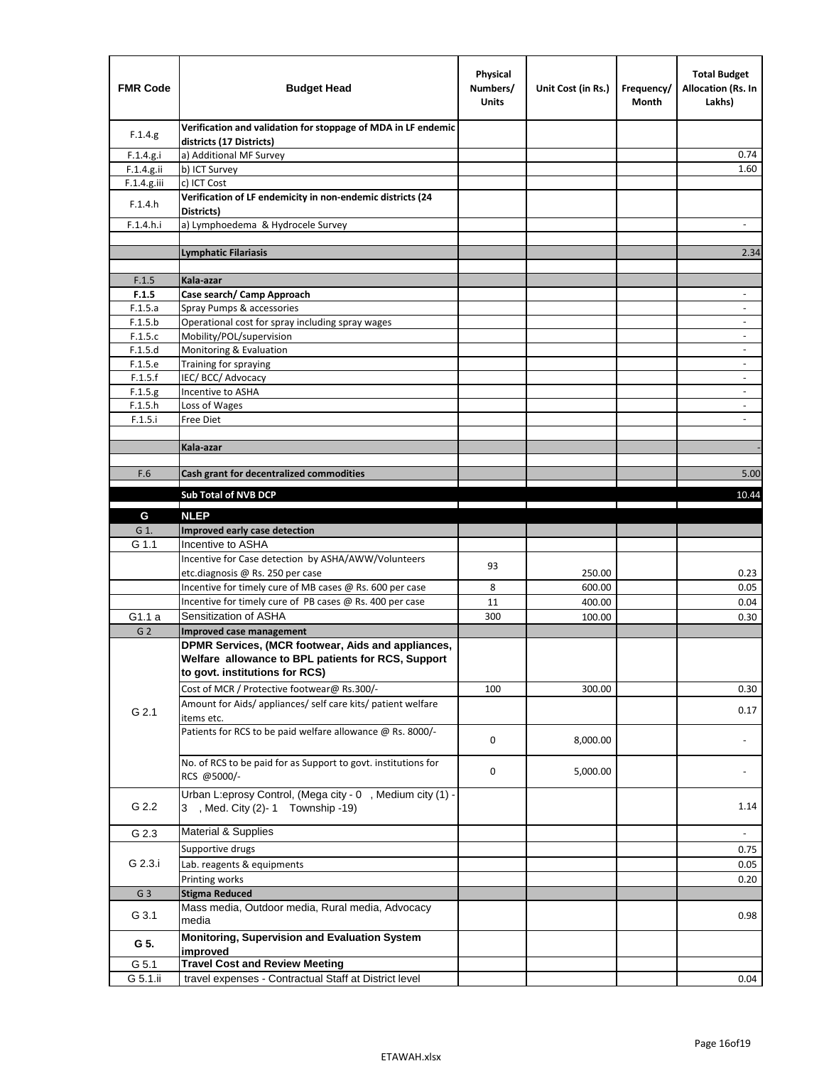| <b>FMR Code</b> | <b>Budget Head</b>                                                                                                                         | Physical<br>Numbers/<br><b>Units</b> | Unit Cost (in Rs.) | Frequency/<br>Month | <b>Total Budget</b><br>Allocation (Rs. In<br>Lakhs) |
|-----------------|--------------------------------------------------------------------------------------------------------------------------------------------|--------------------------------------|--------------------|---------------------|-----------------------------------------------------|
| F.1.4.g.        | Verification and validation for stoppage of MDA in LF endemic<br>districts (17 Districts)                                                  |                                      |                    |                     |                                                     |
| F.1.4.g.i       | a) Additional MF Survey                                                                                                                    |                                      |                    |                     | 0.74                                                |
| F.1.4.g.ii      | b) ICT Survey                                                                                                                              |                                      |                    |                     | 1.60                                                |
| $F.1.4.g.$ iii  | c) ICT Cost                                                                                                                                |                                      |                    |                     |                                                     |
| F.1.4.h         | Verification of LF endemicity in non-endemic districts (24<br>Districts)                                                                   |                                      |                    |                     |                                                     |
| F.1.4.h.i       | a) Lymphoedema & Hydrocele Survey                                                                                                          |                                      |                    |                     |                                                     |
|                 | <b>Lymphatic Filariasis</b>                                                                                                                |                                      |                    |                     | 2.34                                                |
|                 |                                                                                                                                            |                                      |                    |                     |                                                     |
| F.1.5           | Kala-azar                                                                                                                                  |                                      |                    |                     |                                                     |
| F.1.5           | Case search/ Camp Approach                                                                                                                 |                                      |                    |                     | $\overline{\phantom{a}}$                            |
| F.1.5.a         | Spray Pumps & accessories                                                                                                                  |                                      |                    |                     | $\overline{\phantom{a}}$                            |
| F.1.5.b         | Operational cost for spray including spray wages                                                                                           |                                      |                    |                     |                                                     |
| F.1.5.c         | Mobility/POL/supervision                                                                                                                   |                                      |                    |                     | $\blacksquare$                                      |
| F.1.5.d         | Monitoring & Evaluation                                                                                                                    |                                      |                    |                     |                                                     |
| F.1.5.e         | Training for spraying                                                                                                                      |                                      |                    |                     | $\overline{\phantom{a}}$                            |
| F.1.5.f         | IEC/BCC/Advocacy                                                                                                                           |                                      |                    |                     |                                                     |
| F.1.5.g         | Incentive to ASHA                                                                                                                          |                                      |                    |                     | $\overline{\phantom{a}}$                            |
| F.1.5.h         | Loss of Wages                                                                                                                              |                                      |                    |                     | $\overline{\phantom{a}}$                            |
| F.1.5.i         | Free Diet                                                                                                                                  |                                      |                    |                     |                                                     |
|                 | Kala-azar                                                                                                                                  |                                      |                    |                     |                                                     |
|                 |                                                                                                                                            |                                      |                    |                     |                                                     |
| F.6             | Cash grant for decentralized commodities                                                                                                   |                                      |                    |                     | 5.00                                                |
|                 |                                                                                                                                            |                                      |                    |                     |                                                     |
|                 | <b>Sub Total of NVB DCP</b>                                                                                                                |                                      |                    |                     | 10.44                                               |
| G               | <b>NLEP</b>                                                                                                                                |                                      |                    |                     |                                                     |
| G 1.            | Improved early case detection                                                                                                              |                                      |                    |                     |                                                     |
| G 1.1           | Incentive to ASHA                                                                                                                          |                                      |                    |                     |                                                     |
|                 | Incentive for Case detection by ASHA/AWW/Volunteers                                                                                        | 93                                   |                    |                     |                                                     |
|                 | etc.diagnosis @ Rs. 250 per case                                                                                                           |                                      | 250.00             |                     | 0.23                                                |
|                 | Incentive for timely cure of MB cases @ Rs. 600 per case                                                                                   | 8                                    | 600.00             |                     | 0.05                                                |
|                 | Incentive for timely cure of PB cases @ Rs. 400 per case                                                                                   | 11                                   | 400.00             |                     | 0.04                                                |
| G1.1 a          | Sensitization of ASHA                                                                                                                      | 300                                  | 100.00             |                     | 0.30                                                |
| G <sub>2</sub>  | Improved case management                                                                                                                   |                                      |                    |                     |                                                     |
|                 | DPMR Services, (MCR footwear, Aids and appliances,<br>Welfare allowance to BPL patients for RCS, Support<br>to govt. institutions for RCS) |                                      |                    |                     |                                                     |
|                 | Cost of MCR / Protective footwear@ Rs.300/-                                                                                                | 100                                  | 300.00             |                     | 0.30                                                |
| G 2.1           | Amount for Aids/ appliances/ self care kits/ patient welfare<br>items etc.                                                                 |                                      |                    |                     | 0.17                                                |
|                 | Patients for RCS to be paid welfare allowance @ Rs. 8000/-                                                                                 | 0                                    | 8,000.00           |                     |                                                     |
|                 | No. of RCS to be paid for as Support to govt. institutions for<br>RCS @5000/-                                                              | 0                                    | 5,000.00           |                     |                                                     |
| G 2.2           | Urban L:eprosy Control, (Mega city - 0, Medium city (1) -<br>3 , Med. City (2)-1 Township -19)                                             |                                      |                    |                     | 1.14                                                |
| G 2.3           | <b>Material &amp; Supplies</b>                                                                                                             |                                      |                    |                     | $\overline{\phantom{a}}$                            |
|                 | Supportive drugs                                                                                                                           |                                      |                    |                     | 0.75                                                |
| G 2.3.i         | Lab. reagents & equipments                                                                                                                 |                                      |                    |                     | 0.05                                                |
|                 | Printing works                                                                                                                             |                                      |                    |                     | 0.20                                                |
| G <sub>3</sub>  | <b>Stigma Reduced</b>                                                                                                                      |                                      |                    |                     |                                                     |
|                 | Mass media, Outdoor media, Rural media, Advocacy                                                                                           |                                      |                    |                     |                                                     |
| G 3.1           | media<br>Monitoring, Supervision and Evaluation System                                                                                     |                                      |                    |                     | 0.98                                                |
| G 5.            | improved                                                                                                                                   |                                      |                    |                     |                                                     |
| G 5.1           | <b>Travel Cost and Review Meeting</b>                                                                                                      |                                      |                    |                     |                                                     |
| G 5.1.ii        | travel expenses - Contractual Staff at District level                                                                                      |                                      |                    |                     | 0.04                                                |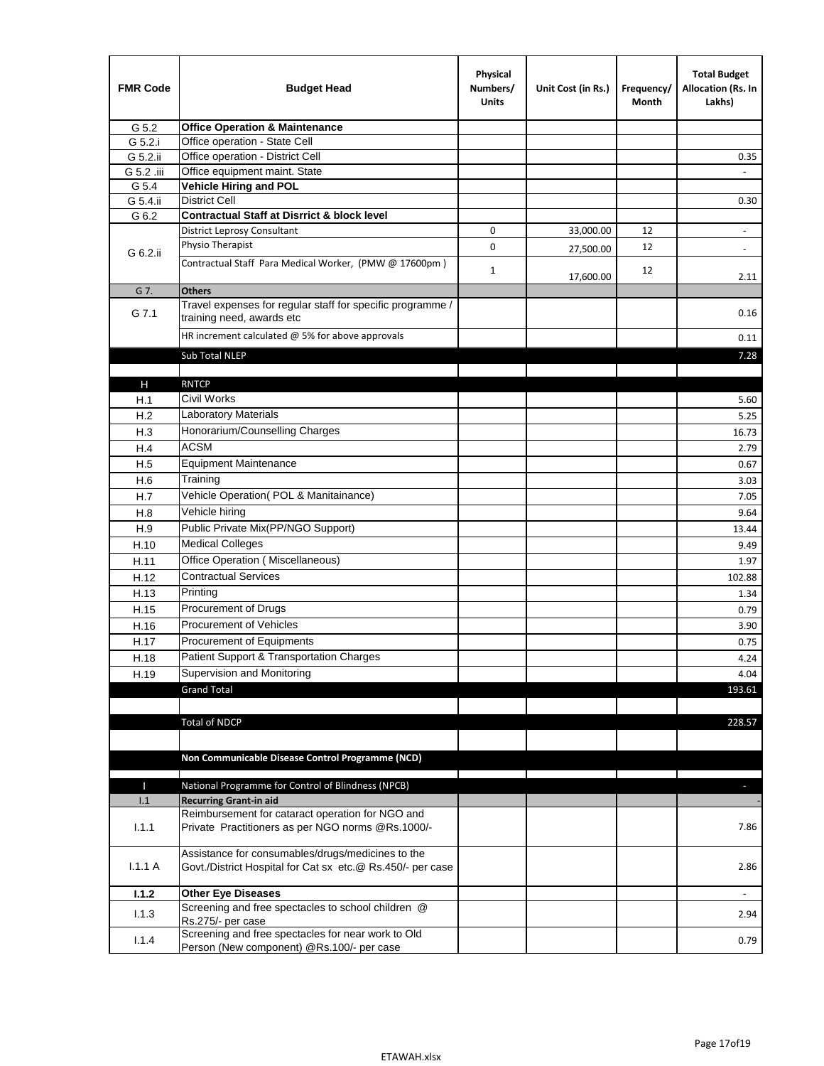| <b>FMR Code</b> | <b>Budget Head</b>                                                                                              | Physical<br>Numbers/<br><b>Units</b> | Unit Cost (in Rs.) | Frequency/<br>Month | <b>Total Budget</b><br>Allocation (Rs. In<br>Lakhs) |
|-----------------|-----------------------------------------------------------------------------------------------------------------|--------------------------------------|--------------------|---------------------|-----------------------------------------------------|
| G 5.2           | <b>Office Operation &amp; Maintenance</b>                                                                       |                                      |                    |                     |                                                     |
| G 5.2.i         | Office operation - State Cell                                                                                   |                                      |                    |                     |                                                     |
| G 5.2.ii        | Office operation - District Cell                                                                                |                                      |                    |                     | 0.35                                                |
| G 5.2 .iii      | Office equipment maint. State                                                                                   |                                      |                    |                     |                                                     |
| G 5.4           | <b>Vehicle Hiring and POL</b>                                                                                   |                                      |                    |                     |                                                     |
| G 5.4.ii        | <b>District Cell</b>                                                                                            |                                      |                    |                     | 0.30                                                |
| G 6.2           | <b>Contractual Staff at Disrrict &amp; block level</b>                                                          |                                      |                    |                     |                                                     |
|                 | <b>District Leprosy Consultant</b>                                                                              | 0                                    | 33,000.00          | 12                  |                                                     |
| G 6.2.ii        | Physio Therapist                                                                                                | 0                                    | 27,500.00          | 12                  | $\overline{\phantom{a}}$                            |
|                 | Contractual Staff Para Medical Worker, (PMW @ 17600pm)                                                          | $\mathbf{1}$                         | 17,600.00          | 12                  | 2.11                                                |
| G 7.            | <b>Others</b>                                                                                                   |                                      |                    |                     |                                                     |
| G 7.1           | Travel expenses for regular staff for specific programme /<br>training need, awards etc                         |                                      |                    |                     | 0.16                                                |
|                 | HR increment calculated $\omega$ 5% for above approvals                                                         |                                      |                    |                     | 0.11                                                |
|                 | Sub Total NLEP                                                                                                  |                                      |                    |                     | 7.28                                                |
|                 |                                                                                                                 |                                      |                    |                     |                                                     |
| Н               | <b>RNTCP</b>                                                                                                    |                                      |                    |                     |                                                     |
| H.1             | Civil Works                                                                                                     |                                      |                    |                     | 5.60                                                |
| H.2             | Laboratory Materials                                                                                            |                                      |                    |                     | 5.25                                                |
| H.3             | Honorarium/Counselling Charges                                                                                  |                                      |                    |                     | 16.73                                               |
| H.4             | <b>ACSM</b>                                                                                                     |                                      |                    |                     | 2.79                                                |
| H.5             | <b>Equipment Maintenance</b>                                                                                    |                                      |                    |                     | 0.67                                                |
| H.6             | Training                                                                                                        |                                      |                    |                     | 3.03                                                |
| H.7             | Vehicle Operation(POL & Manitainance)                                                                           |                                      |                    |                     | 7.05                                                |
| H.8             | Vehicle hiring                                                                                                  |                                      |                    |                     | 9.64                                                |
| H.9             | Public Private Mix(PP/NGO Support)                                                                              |                                      |                    |                     | 13.44                                               |
| H.10            | <b>Medical Colleges</b>                                                                                         |                                      |                    |                     | 9.49                                                |
| H.11            | Office Operation (Miscellaneous)                                                                                |                                      |                    |                     | 1.97                                                |
| H.12            | <b>Contractual Services</b>                                                                                     |                                      |                    |                     | 102.88                                              |
| H.13            | Printing                                                                                                        |                                      |                    |                     | 1.34                                                |
| H.15            | Procurement of Drugs                                                                                            |                                      |                    |                     | 0.79                                                |
| H.16            | Procurement of Vehicles                                                                                         |                                      |                    |                     | 3.90                                                |
| H.17            | Procurement of Equipments                                                                                       |                                      |                    |                     | 0.75                                                |
| H.18            | Patient Support & Transportation Charges                                                                        |                                      |                    |                     | 4.24                                                |
| H.19            | Supervision and Monitoring                                                                                      |                                      |                    |                     | 4.04                                                |
|                 | <b>Grand Total</b>                                                                                              |                                      |                    |                     | 193.61                                              |
|                 |                                                                                                                 |                                      |                    |                     |                                                     |
|                 | <b>Total of NDCP</b>                                                                                            |                                      |                    |                     | 228.57                                              |
|                 |                                                                                                                 |                                      |                    |                     |                                                     |
|                 |                                                                                                                 |                                      |                    |                     |                                                     |
|                 | Non Communicable Disease Control Programme (NCD)                                                                |                                      |                    |                     |                                                     |
| Т               | National Programme for Control of Blindness (NPCB)                                                              |                                      |                    |                     | ÷.                                                  |
| 1.1             | <b>Recurring Grant-in aid</b>                                                                                   |                                      |                    |                     |                                                     |
|                 | Reimbursement for cataract operation for NGO and                                                                |                                      |                    |                     |                                                     |
| 1.1.1           | Private Practitioners as per NGO norms @Rs.1000/-                                                               |                                      |                    |                     | 7.86                                                |
| 1.1.1A          | Assistance for consumables/drugs/medicines to the<br>Govt./District Hospital for Cat sx etc.@ Rs.450/- per case |                                      |                    |                     | 2.86                                                |
| 1.1.2           | <b>Other Eye Diseases</b>                                                                                       |                                      |                    |                     |                                                     |
| 1.1.3           | Screening and free spectacles to school children @                                                              |                                      |                    |                     | 2.94                                                |
|                 | Rs.275/- per case                                                                                               |                                      |                    |                     |                                                     |
| 1.1.4           | Screening and free spectacles for near work to Old<br>Person (New component) @Rs.100/- per case                 |                                      |                    |                     | 0.79                                                |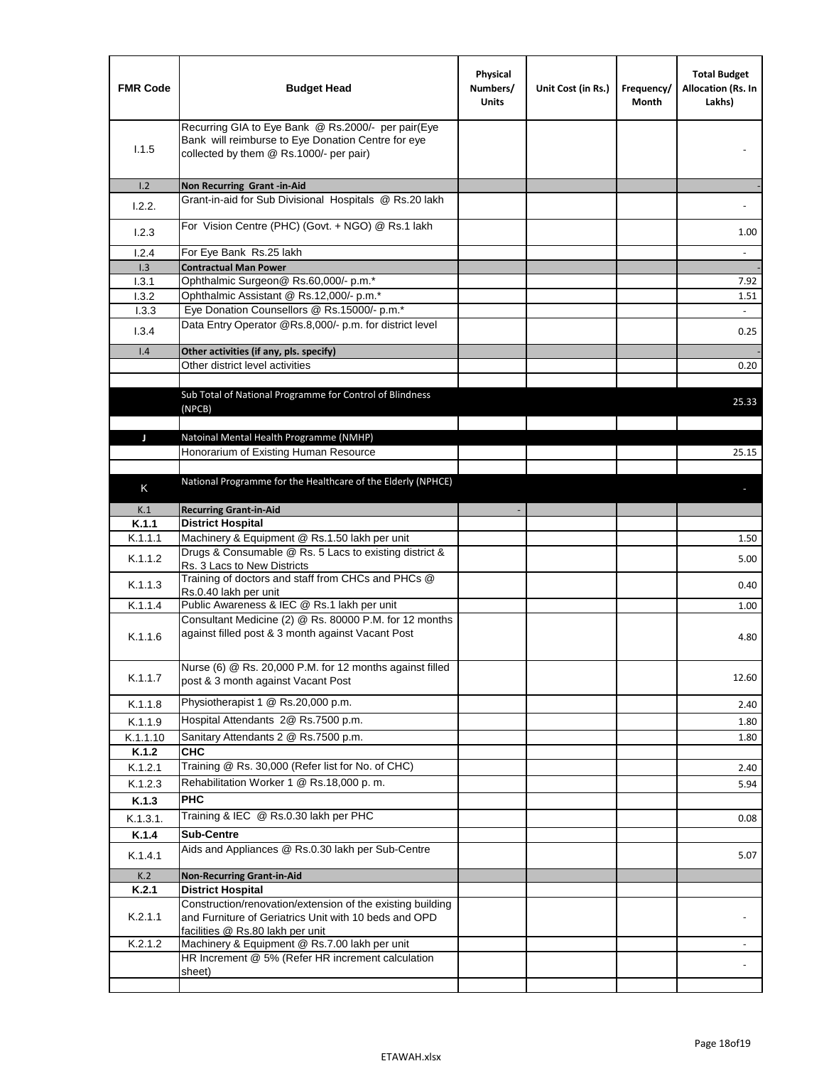| <b>FMR Code</b> | <b>Budget Head</b>                                                                                                                                      | Physical<br>Numbers/<br><b>Units</b> | Unit Cost (in Rs.) | Frequency/<br>Month | <b>Total Budget</b><br>Allocation (Rs. In<br>Lakhs) |
|-----------------|---------------------------------------------------------------------------------------------------------------------------------------------------------|--------------------------------------|--------------------|---------------------|-----------------------------------------------------|
| 1.1.5           | Recurring GIA to Eye Bank @ Rs.2000/- per pair(Eye<br>Bank will reimburse to Eye Donation Centre for eye<br>collected by them @ Rs.1000/- per pair)     |                                      |                    |                     |                                                     |
| 1.2<br>1.2.2.   | Non Recurring Grant -in-Aid<br>Grant-in-aid for Sub Divisional Hospitals @ Rs.20 lakh                                                                   |                                      |                    |                     |                                                     |
| 1.2.3           | For Vision Centre (PHC) (Govt. + NGO) @ Rs.1 lakh                                                                                                       |                                      |                    |                     | 1.00                                                |
| 1.2.4           | For Eye Bank Rs.25 lakh                                                                                                                                 |                                      |                    |                     | $\overline{\phantom{a}}$                            |
| 1.3             | <b>Contractual Man Power</b>                                                                                                                            |                                      |                    |                     |                                                     |
| 1.3.1           | Ophthalmic Surgeon@ Rs.60,000/- p.m.*                                                                                                                   |                                      |                    |                     | 7.92                                                |
| 1.3.2           | Ophthalmic Assistant @ Rs.12,000/- p.m.*                                                                                                                |                                      |                    |                     | 1.51                                                |
| 1.3.3           | Eye Donation Counsellors @ Rs.15000/- p.m.*                                                                                                             |                                      |                    |                     | $\omega$                                            |
| 1.3.4           | Data Entry Operator @Rs.8,000/- p.m. for district level                                                                                                 |                                      |                    |                     | 0.25                                                |
| 1.4             | Other activities (if any, pls. specify)                                                                                                                 |                                      |                    |                     |                                                     |
|                 | Other district level activities                                                                                                                         |                                      |                    |                     | 0.20                                                |
|                 | Sub Total of National Programme for Control of Blindness<br>(NPCB)                                                                                      |                                      |                    |                     | 25.33                                               |
| J               | Natoinal Mental Health Programme (NMHP)                                                                                                                 |                                      |                    |                     |                                                     |
|                 | Honorarium of Existing Human Resource                                                                                                                   |                                      |                    |                     | 25.15                                               |
|                 |                                                                                                                                                         |                                      |                    |                     |                                                     |
|                 |                                                                                                                                                         |                                      |                    |                     |                                                     |
| K               | National Programme for the Healthcare of the Elderly (NPHCE)                                                                                            |                                      |                    |                     |                                                     |
| K.1             | <b>Recurring Grant-in-Aid</b>                                                                                                                           |                                      |                    |                     |                                                     |
| K.1.1           | <b>District Hospital</b>                                                                                                                                |                                      |                    |                     |                                                     |
| K.1.1.1         | Machinery & Equipment @ Rs.1.50 lakh per unit                                                                                                           |                                      |                    |                     | 1.50                                                |
|                 | Drugs & Consumable @ Rs. 5 Lacs to existing district &                                                                                                  |                                      |                    |                     |                                                     |
| K.1.1.2         | Rs. 3 Lacs to New Districts                                                                                                                             |                                      |                    |                     | 5.00                                                |
| K.1.1.3         | Training of doctors and staff from CHCs and PHCs @                                                                                                      |                                      |                    |                     | 0.40                                                |
| K.1.1.4         | Rs.0.40 lakh per unit<br>Public Awareness & IEC @ Rs.1 lakh per unit                                                                                    |                                      |                    |                     | 1.00                                                |
| K.1.1.6         | Consultant Medicine (2) @ Rs. 80000 P.M. for 12 months<br>against filled post & 3 month against Vacant Post                                             |                                      |                    |                     | 4.80                                                |
| K.1.1.7         | Nurse (6) @ Rs. 20,000 P.M. for 12 months against filled<br>post & 3 month against Vacant Post                                                          |                                      |                    |                     | 12.60                                               |
| K.1.1.8         | Physiotherapist 1 @ Rs.20,000 p.m.                                                                                                                      |                                      |                    |                     | 2.40                                                |
| K.1.1.9         | Hospital Attendants 2@ Rs.7500 p.m.                                                                                                                     |                                      |                    |                     | 1.80                                                |
| K.1.1.10        | Sanitary Attendants 2 @ Rs.7500 p.m.                                                                                                                    |                                      |                    |                     | 1.80                                                |
| K.1.2           | <b>CHC</b>                                                                                                                                              |                                      |                    |                     |                                                     |
|                 | Training @ Rs. 30,000 (Refer list for No. of CHC)                                                                                                       |                                      |                    |                     |                                                     |
| K.1.2.1         |                                                                                                                                                         |                                      |                    |                     | 2.40                                                |
| K.1.2.3         | Rehabilitation Worker 1 @ Rs.18,000 p.m.                                                                                                                |                                      |                    |                     | 5.94                                                |
| K.1.3           | <b>PHC</b>                                                                                                                                              |                                      |                    |                     |                                                     |
| K.1.3.1.        | Training & IEC @ Rs.0.30 lakh per PHC                                                                                                                   |                                      |                    |                     | 0.08                                                |
| K.1.4           | <b>Sub-Centre</b>                                                                                                                                       |                                      |                    |                     |                                                     |
| K.1.4.1         | Aids and Appliances @ Rs.0.30 lakh per Sub-Centre                                                                                                       |                                      |                    |                     | 5.07                                                |
| K.2             | <b>Non-Recurring Grant-in-Aid</b>                                                                                                                       |                                      |                    |                     |                                                     |
| K.2.1           | <b>District Hospital</b>                                                                                                                                |                                      |                    |                     |                                                     |
| K.2.1.1         | Construction/renovation/extension of the existing building<br>and Furniture of Geriatrics Unit with 10 beds and OPD<br>facilities @ Rs.80 lakh per unit |                                      |                    |                     |                                                     |
| K.2.1.2         | Machinery & Equipment @ Rs.7.00 lakh per unit                                                                                                           |                                      |                    |                     |                                                     |
|                 | HR Increment @ 5% (Refer HR increment calculation                                                                                                       |                                      |                    |                     |                                                     |
|                 | sheet)                                                                                                                                                  |                                      |                    |                     |                                                     |
|                 |                                                                                                                                                         |                                      |                    |                     |                                                     |